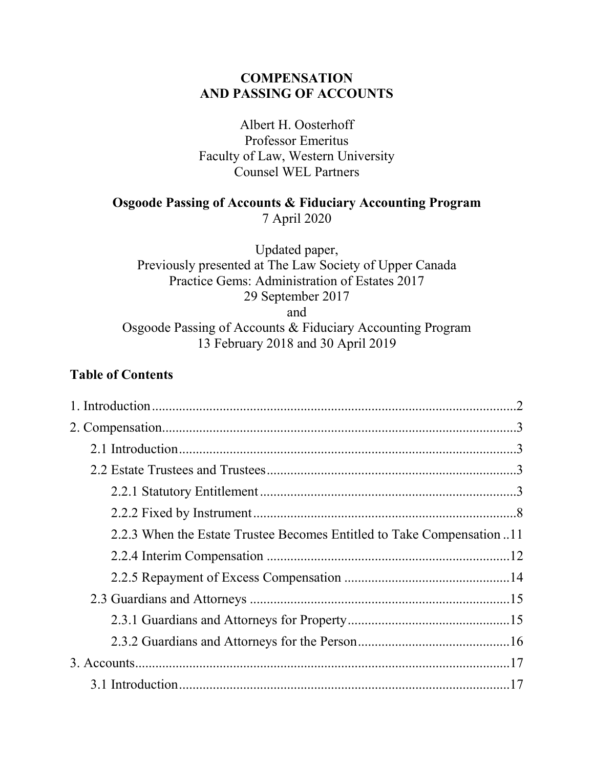# **COMPENSATION AND PASSING OF ACCOUNTS**

Albert H. Oosterhoff Professor Emeritus Faculty of Law, Western University Counsel WEL Partners

# **Osgoode Passing of Accounts & Fiduciary Accounting Program**

7 April 2020

Updated paper, Previously presented at The Law Society of Upper Canada Practice Gems: Administration of Estates 2017 29 September 2017 and Osgoode Passing of Accounts & Fiduciary Accounting Program 13 February 2018 and 30 April 2019

# **Table of Contents**

| 2.2.3 When the Estate Trustee Becomes Entitled to Take Compensation 11 |  |
|------------------------------------------------------------------------|--|
|                                                                        |  |
|                                                                        |  |
|                                                                        |  |
|                                                                        |  |
|                                                                        |  |
|                                                                        |  |
|                                                                        |  |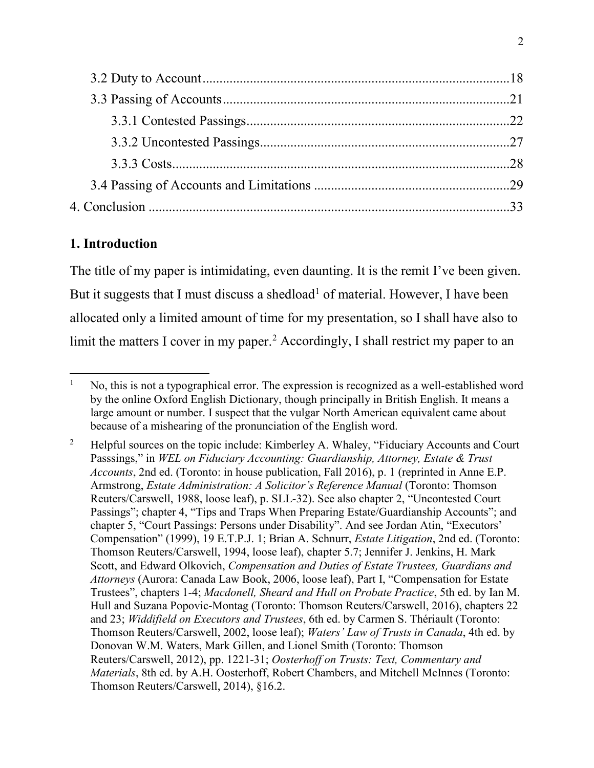# **1. Introduction**

The title of my paper is intimidating, even daunting. It is the remit I've been given. But it suggests that I must discuss a shedload<sup>[1](#page-1-0)</sup> of material. However, I have been allocated only a limited amount of time for my presentation, so I shall have also to limit the matters I cover in my paper.<sup>[2](#page-1-1)</sup> Accordingly, I shall restrict my paper to an

<span id="page-1-0"></span> $1$  No, this is not a typographical error. The expression is recognized as a well-established word by the online Oxford English Dictionary, though principally in British English. It means a large amount or number. I suspect that the vulgar North American equivalent came about because of a mishearing of the pronunciation of the English word.

<span id="page-1-1"></span><sup>&</sup>lt;sup>2</sup> Helpful sources on the topic include: Kimberley A. Whaley, "Fiduciary Accounts and Court" Passsings," in *WEL on Fiduciary Accounting: Guardianship, Attorney, Estate & Trust Accounts*, 2nd ed. (Toronto: in house publication, Fall 2016), p. 1 (reprinted in Anne E.P. Armstrong, *Estate Administration: A Solicitor's Reference Manual* (Toronto: Thomson Reuters/Carswell, 1988, loose leaf), p. SLL-32). See also chapter 2, "Uncontested Court Passings"; chapter 4, "Tips and Traps When Preparing Estate/Guardianship Accounts"; and chapter 5, "Court Passings: Persons under Disability". And see Jordan Atin, "Executors' Compensation" (1999), 19 E.T.P.J. 1; Brian A. Schnurr, *Estate Litigation*, 2nd ed. (Toronto: Thomson Reuters/Carswell, 1994, loose leaf), chapter 5.7; Jennifer J. Jenkins, H. Mark Scott, and Edward Olkovich, *Compensation and Duties of Estate Trustees, Guardians and Attorneys* (Aurora: Canada Law Book, 2006, loose leaf), Part I, "Compensation for Estate Trustees", chapters 1-4; *Macdonell, Sheard and Hull on Probate Practice*, 5th ed. by Ian M. Hull and Suzana Popovic-Montag (Toronto: Thomson Reuters/Carswell, 2016), chapters 22 and 23; *Widdifield on Executors and Trustees*, 6th ed. by Carmen S. Thériault (Toronto: Thomson Reuters/Carswell, 2002, loose leaf); *Waters' Law of Trusts in Canada*, 4th ed. by Donovan W.M. Waters, Mark Gillen, and Lionel Smith (Toronto: Thomson Reuters/Carswell, 2012), pp. 1221-31; *Oosterhoff on Trusts: Text, Commentary and Materials*, 8th ed. by A.H. Oosterhoff, Robert Chambers, and Mitchell McInnes (Toronto: Thomson Reuters/Carswell, 2014), §16.2.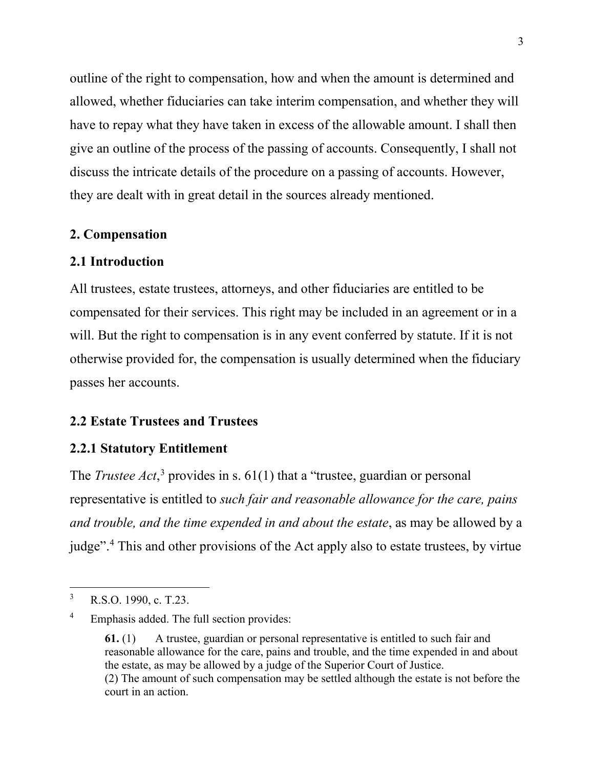outline of the right to compensation, how and when the amount is determined and allowed, whether fiduciaries can take interim compensation, and whether they will have to repay what they have taken in excess of the allowable amount. I shall then give an outline of the process of the passing of accounts. Consequently, I shall not discuss the intricate details of the procedure on a passing of accounts. However, they are dealt with in great detail in the sources already mentioned.

### **2. Compensation**

## **2.1 Introduction**

All trustees, estate trustees, attorneys, and other fiduciaries are entitled to be compensated for their services. This right may be included in an agreement or in a will. But the right to compensation is in any event conferred by statute. If it is not otherwise provided for, the compensation is usually determined when the fiduciary passes her accounts.

## **2.2 Estate Trustees and Trustees**

#### **2.2.1 Statutory Entitlement**

The *Trustee Act*,<sup>[3](#page-2-0)</sup> provides in s. 61(1) that a "trustee, guardian or personal representative is entitled to *such fair and reasonable allowance for the care, pains and trouble, and the time expended in and about the estate*, as may be allowed by a judge".[4](#page-2-1) This and other provisions of the Act apply also to estate trustees, by virtue

<span id="page-2-0"></span> <sup>3</sup> R.S.O. 1990, c. T.23.

<span id="page-2-1"></span><sup>4</sup> Emphasis added. The full section provides:

**<sup>61.</sup>** (1) A trustee, guardian or personal representative is entitled to such fair and reasonable allowance for the care, pains and trouble, and the time expended in and about the estate, as may be allowed by a judge of the Superior Court of Justice. (2) The amount of such compensation may be settled although the estate is not before the

court in an action.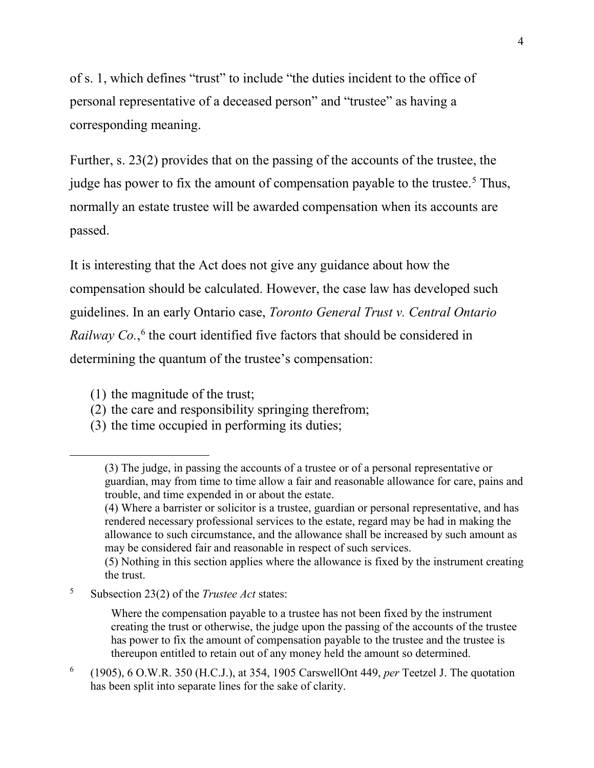of s. 1, which defines "trust" to include "the duties incident to the office of personal representative of a deceased person" and "trustee" as having a corresponding meaning.

Further, s. 23(2) provides that on the passing of the accounts of the trustee, the judge has power to fix the amount of compensation payable to the trustee.<sup>[5](#page-3-0)</sup> Thus, normally an estate trustee will be awarded compensation when its accounts are passed.

It is interesting that the Act does not give any guidance about how the compensation should be calculated. However, the case law has developed such guidelines. In an early Ontario case, *Toronto General Trust v. Central Ontario*  Railway Co.,<sup>[6](#page-3-1)</sup> the court identified five factors that should be considered in determining the quantum of the trustee's compensation:

<span id="page-3-2"></span>(1) the magnitude of the trust;

 $\overline{a}$ 

- (2) the care and responsibility springing therefrom;
- (3) the time occupied in performing its duties;

<span id="page-3-0"></span><sup>5</sup> Subsection 23(2) of the *Trustee Act* states:

Where the compensation payable to a trustee has not been fixed by the instrument creating the trust or otherwise, the judge upon the passing of the accounts of the trustee has power to fix the amount of compensation payable to the trustee and the trustee is thereupon entitled to retain out of any money held the amount so determined.

<span id="page-3-1"></span><sup>6</sup> (1905), 6 O.W.R. 350 (H.C.J.), at 354, 1905 CarswellOnt 449, *per* Teetzel J. The quotation has been split into separate lines for the sake of clarity.

<sup>(3)</sup> The judge, in passing the accounts of a trustee or of a personal representative or guardian, may from time to time allow a fair and reasonable allowance for care, pains and trouble, and time expended in or about the estate.

<sup>(4)</sup> Where a barrister or solicitor is a trustee, guardian or personal representative, and has rendered necessary professional services to the estate, regard may be had in making the allowance to such circumstance, and the allowance shall be increased by such amount as may be considered fair and reasonable in respect of such services.

<sup>(5)</sup> Nothing in this section applies where the allowance is fixed by the instrument creating the trust.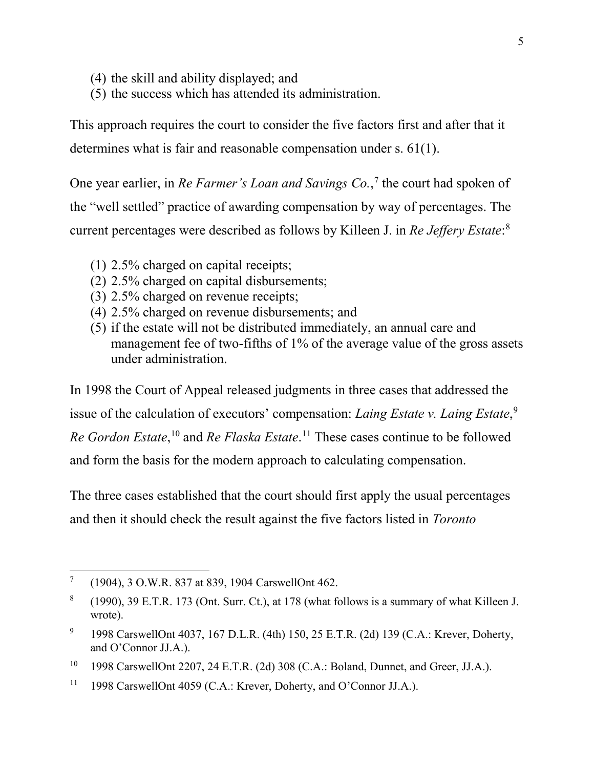- (4) the skill and ability displayed; and
- (5) the success which has attended its administration.

This approach requires the court to consider the five factors first and after that it determines what is fair and reasonable compensation under s. 61(1).

One year earlier, in *Re Farmer's Loan and Savings Co.*, [7](#page-4-0) the court had spoken of the "well settled" practice of awarding compensation by way of percentages. The current percentages were described as follows by Killeen J. in *Re Jeffery Estate*: [8](#page-4-1)

- <span id="page-4-6"></span>(1) 2.5% charged on capital receipts;
- (2) 2.5% charged on capital disbursements;
- (3) 2.5% charged on revenue receipts;
- (4) 2.5% charged on revenue disbursements; and
- <span id="page-4-5"></span>(5) if the estate will not be distributed immediately, an annual care and management fee of two-fifths of 1% of the average value of the gross assets under administration.

In 1998 the Court of Appeal released judgments in three cases that addressed the issue of the calculation of executors' compensation: *Laing Estate v. Laing Estate*, [9](#page-4-2) *Re Gordon Estate*, [10](#page-4-3) and *Re Flaska Estate*. [11](#page-4-4) These cases continue to be followed and form the basis for the modern approach to calculating compensation.

The three cases established that the court should first apply the usual percentages and then it should check the result against the five factors listed in *Toronto* 

<span id="page-4-0"></span> <sup>7</sup> (1904), 3 O.W.R. 837 at 839, 1904 CarswellOnt 462.

<span id="page-4-1"></span> $8$  (1990), 39 E.T.R. 173 (Ont. Surr. Ct.), at 178 (what follows is a summary of what Killeen J. wrote).

<span id="page-4-2"></span><sup>9</sup> 1998 CarswellOnt 4037, 167 D.L.R. (4th) 150, 25 E.T.R. (2d) 139 (C.A.: Krever, Doherty, and O'Connor JJ.A.).

<span id="page-4-3"></span><sup>&</sup>lt;sup>10</sup> 1998 CarswellOnt 2207, 24 E.T.R. (2d) 308 (C.A.: Boland, Dunnet, and Greer, JJ.A.).

<span id="page-4-4"></span><sup>&</sup>lt;sup>11</sup> 1998 CarswellOnt 4059 (C.A.: Krever, Doherty, and O'Connor JJ.A.).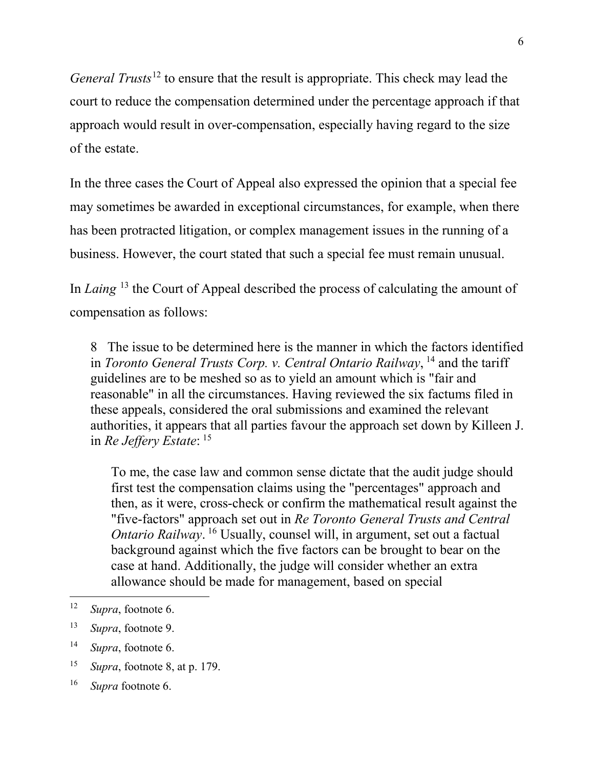*General Trusts*[12](#page-5-0) to ensure that the result is appropriate. This check may lead the court to reduce the compensation determined under the percentage approach if that approach would result in over-compensation, especially having regard to the size of the estate.

In the three cases the Court of Appeal also expressed the opinion that a special fee may sometimes be awarded in exceptional circumstances, for example, when there has been protracted litigation, or complex management issues in the running of a business. However, the court stated that such a special fee must remain unusual.

In *Laing* [13](#page-5-1) the Court of Appeal described the process of calculating the amount of compensation as follows:

8 The issue to be determined here is the manner in which the factors identified in *Toronto General Trusts Corp. v. Central Ontario Railway*, <sup>[14](#page-5-2)</sup> and the tariff guidelines are to be meshed so as to yield an amount which is "fair and reasonable" in all the circumstances. Having reviewed the six factums filed in these appeals, considered the oral submissions and examined the relevant authorities, it appears that all parties favour the approach set down by Killeen J. in *Re Jeffery Estate*: [15](#page-5-3)

To me, the case law and common sense dictate that the audit judge should first test the compensation claims using the "percentages" approach and then, as it were, cross-check or confirm the mathematical result against the "five-factors" approach set out in *Re Toronto General Trusts and Central Ontario Railway*. <sup>[16](#page-5-4)</sup> Usually, counsel will, in argument, set out a factual background against which the five factors can be brought to bear on the case at hand. Additionally, the judge will consider whether an extra allowance should be made for management, based on special

<span id="page-5-0"></span> <sup>12</sup> *Supra*, footnote [6.](#page-3-2)

<span id="page-5-1"></span><sup>13</sup> *Supra*, footnote [9.](#page-4-5)

<span id="page-5-2"></span><sup>14</sup> *Supra*, footnote [6.](#page-3-2)

<span id="page-5-3"></span><sup>15</sup> *Supra*, footnote [8,](#page-4-6) at p. 179.

<span id="page-5-4"></span><sup>16</sup> *Supra* footnote 6.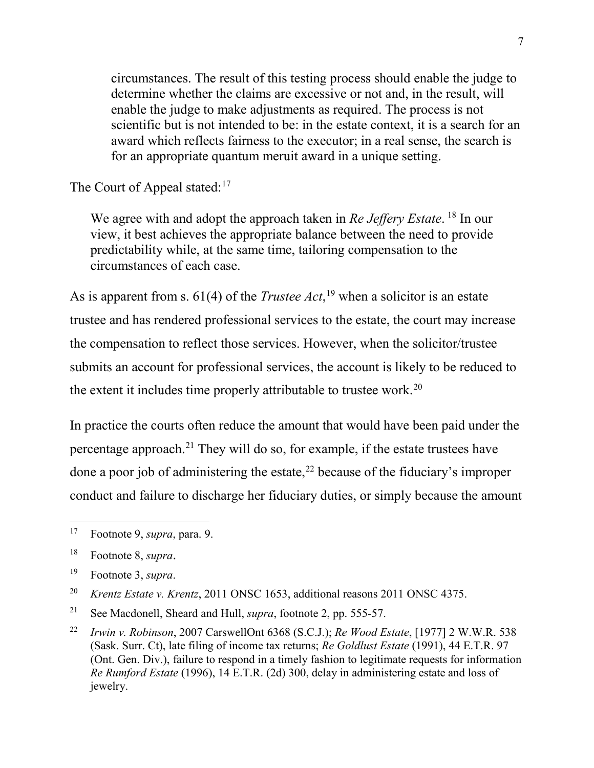circumstances. The result of this testing process should enable the judge to determine whether the claims are excessive or not and, in the result, will enable the judge to make adjustments as required. The process is not scientific but is not intended to be: in the estate context, it is a search for an award which reflects fairness to the executor; in a real sense, the search is for an appropriate quantum meruit award in a unique setting.

The Court of Appeal stated:<sup>[17](#page-6-0)</sup>

We agree with and adopt the approach taken in *Re Jeffery Estate*. [18](#page-6-1) In our view, it best achieves the appropriate balance between the need to provide predictability while, at the same time, tailoring compensation to the circumstances of each case.

As is apparent from s. 61(4) of the *Trustee Act*, [19](#page-6-2) when a solicitor is an estate trustee and has rendered professional services to the estate, the court may increase the compensation to reflect those services. However, when the solicitor/trustee submits an account for professional services, the account is likely to be reduced to the extent it includes time properly attributable to trustee work.<sup>[20](#page-6-3)</sup>

In practice the courts often reduce the amount that would have been paid under the percentage approach[.21](#page-6-4) They will do so, for example, if the estate trustees have done a poor job of administering the estate, [22](#page-6-5) because of the fiduciary's improper conduct and failure to discharge her fiduciary duties, or simply because the amount

<span id="page-6-3"></span><sup>20</sup> *Krentz Estate v. Krentz*, 2011 ONSC 1653, additional reasons 2011 ONSC 4375.

<span id="page-6-0"></span> <sup>17</sup> Footnote 9, *supra*, para. 9.

<span id="page-6-1"></span><sup>18</sup> Footnote 8, *supra*.

<span id="page-6-2"></span><sup>19</sup> Footnote 3, *supra*.

<span id="page-6-4"></span><sup>21</sup> See Macdonell, Sheard and Hull, *supra*, footnote 2, pp. 555-57.

<span id="page-6-5"></span><sup>22</sup> *Irwin v. Robinson*, 2007 CarswellOnt 6368 (S.C.J.); *Re Wood Estate*, [1977] 2 W.W.R. 538 (Sask. Surr. Ct), late filing of income tax returns; *Re Goldlust Estate* (1991), 44 E.T.R. 97 (Ont. Gen. Div.), failure to respond in a timely fashion to legitimate requests for information *Re Rumford Estate* (1996), 14 E.T.R. (2d) 300, delay in administering estate and loss of jewelry.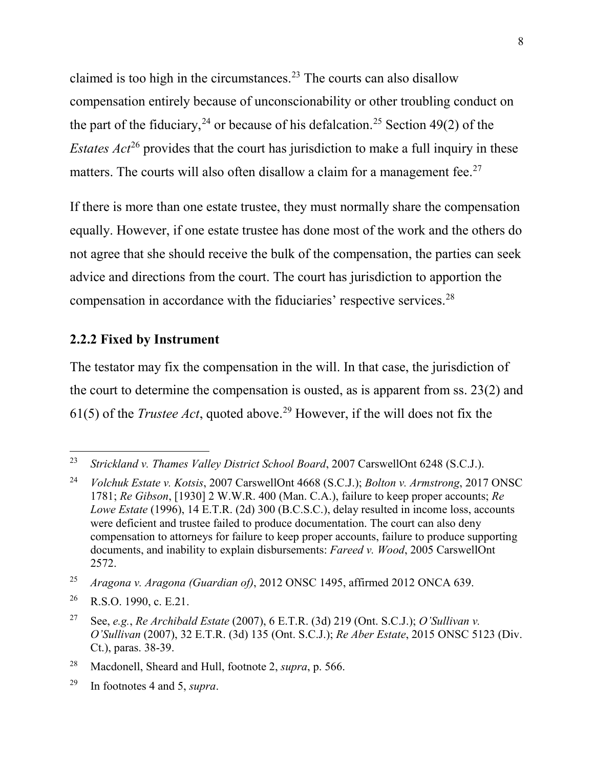claimed is too high in the circumstances.<sup>[23](#page-7-0)</sup> The courts can also disallow compensation entirely because of unconscionability or other troubling conduct on the part of the fiduciary,<sup>[24](#page-7-1)</sup> or because of his defalcation.<sup>[25](#page-7-2)</sup> Section 49(2) of the *Estates Act*<sup>[26](#page-7-3)</sup> provides that the court has jurisdiction to make a full inquiry in these matters. The courts will also often disallow a claim for a management fee.<sup>[27](#page-7-4)</sup>

If there is more than one estate trustee, they must normally share the compensation equally. However, if one estate trustee has done most of the work and the others do not agree that she should receive the bulk of the compensation, the parties can seek advice and directions from the court. The court has jurisdiction to apportion the compensation in accordance with the fiduciaries' respective services.[28](#page-7-5)

#### **2.2.2 Fixed by Instrument**

The testator may fix the compensation in the will. In that case, the jurisdiction of the court to determine the compensation is ousted, as is apparent from ss. 23(2) and 61(5) of the *Trustee Act*, quoted above.<sup>[29](#page-7-6)</sup> However, if the will does not fix the

<span id="page-7-0"></span> <sup>23</sup> *Strickland v. Thames Valley District School Board*, 2007 CarswellOnt 6248 (S.C.J.).

<span id="page-7-1"></span><sup>24</sup> *Volchuk Estate v. Kotsis*, 2007 CarswellOnt 4668 (S.C.J.); *Bolton v. Armstrong*, 2017 ONSC 1781; *Re Gibson*, [1930] 2 W.W.R. 400 (Man. C.A.), failure to keep proper accounts; *Re Lowe Estate* (1996), 14 E.T.R. (2d) 300 (B.C.S.C.), delay resulted in income loss, accounts were deficient and trustee failed to produce documentation. The court can also deny compensation to attorneys for failure to keep proper accounts, failure to produce supporting documents, and inability to explain disbursements: *Fareed v. Wood*, 2005 CarswellOnt 2572.

<span id="page-7-2"></span><sup>25</sup> *Aragona v. Aragona (Guardian of)*, 2012 ONSC 1495, affirmed 2012 ONCA 639.

<span id="page-7-3"></span><sup>&</sup>lt;sup>26</sup> R.S.O. 1990, c. E.21.

<span id="page-7-4"></span><sup>27</sup> See, *e.g.*, *Re Archibald Estate* (2007), 6 E.T.R. (3d) 219 (Ont. S.C.J.); *O'Sullivan v. O'Sullivan* (2007), 32 E.T.R. (3d) 135 (Ont. S.C.J.); *Re Aber Estate*, 2015 ONSC 5123 (Div. Ct.), paras. 38-39.

<span id="page-7-5"></span><sup>28</sup> Macdonell, Sheard and Hull, footnote 2, *supra*, p. 566.

<span id="page-7-6"></span><sup>29</sup> In footnotes 4 and 5, *supra*.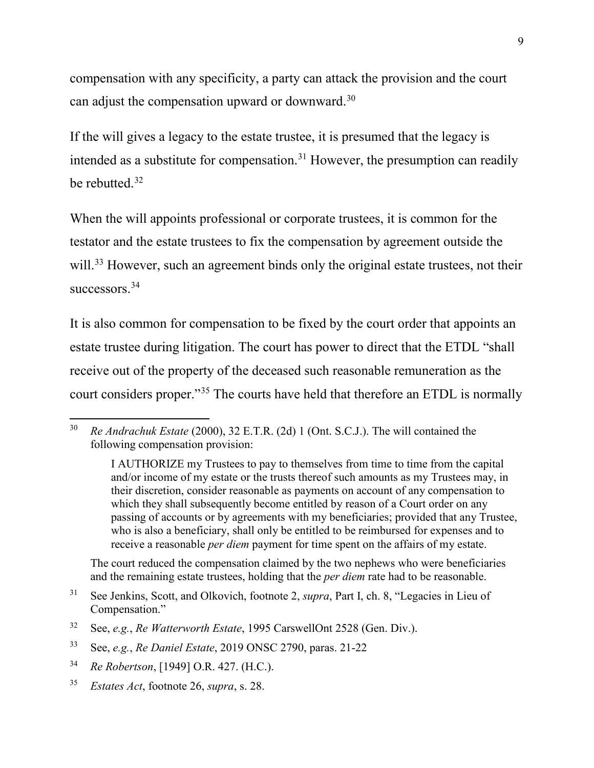compensation with any specificity, a party can attack the provision and the court can adjust the compensation upward or downward[.30](#page-8-0)

If the will gives a legacy to the estate trustee, it is presumed that the legacy is intended as a substitute for compensation.<sup>[31](#page-8-1)</sup> However, the presumption can readily be rebutted. [32](#page-8-2)

When the will appoints professional or corporate trustees, it is common for the testator and the estate trustees to fix the compensation by agreement outside the will.<sup>[33](#page-8-3)</sup> However, such an agreement binds only the original estate trustees, not their successors.<sup>[34](#page-8-4)</sup>

It is also common for compensation to be fixed by the court order that appoints an estate trustee during litigation. The court has power to direct that the ETDL "shall receive out of the property of the deceased such reasonable remuneration as the court considers proper."[35](#page-8-5) The courts have held that therefore an ETDL is normally

The court reduced the compensation claimed by the two nephews who were beneficiaries and the remaining estate trustees, holding that the *per diem* rate had to be reasonable.

<span id="page-8-0"></span> <sup>30</sup> *Re Andrachuk Estate* (2000), 32 E.T.R. (2d) 1 (Ont. S.C.J.). The will contained the following compensation provision:

I AUTHORIZE my Trustees to pay to themselves from time to time from the capital and/or income of my estate or the trusts thereof such amounts as my Trustees may, in their discretion, consider reasonable as payments on account of any compensation to which they shall subsequently become entitled by reason of a Court order on any passing of accounts or by agreements with my beneficiaries; provided that any Trustee, who is also a beneficiary, shall only be entitled to be reimbursed for expenses and to receive a reasonable *per diem* payment for time spent on the affairs of my estate.

<span id="page-8-1"></span><sup>31</sup> See Jenkins, Scott, and Olkovich, footnote 2, *supra*, Part I, ch. 8, "Legacies in Lieu of Compensation."

<span id="page-8-2"></span><sup>32</sup> See, *e.g.*, *Re Watterworth Estate*, 1995 CarswellOnt 2528 (Gen. Div.).

<span id="page-8-3"></span><sup>33</sup> See, *e.g.*, *Re Daniel Estate*, 2019 ONSC 2790, paras. 21-22

<span id="page-8-4"></span><sup>34</sup> *Re Robertson*, [1949] O.R. 427. (H.C.).

<span id="page-8-5"></span><sup>35</sup> *Estates Act*, footnote 26, *supra*, s. 28.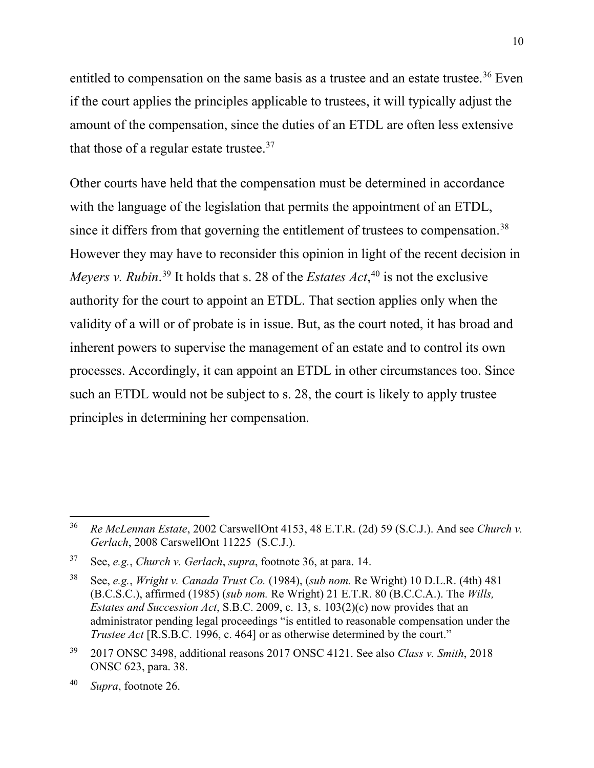entitled to compensation on the same basis as a trustee and an estate trustee.<sup>[36](#page-9-0)</sup> Even if the court applies the principles applicable to trustees, it will typically adjust the amount of the compensation, since the duties of an ETDL are often less extensive that those of a regular estate trustee. $37$ 

Other courts have held that the compensation must be determined in accordance with the language of the legislation that permits the appointment of an ETDL, since it differs from that governing the entitlement of trustees to compensation.<sup>[38](#page-9-2)</sup> However they may have to reconsider this opinion in light of the recent decision in *Meyers v. Rubin*. [39](#page-9-3) It holds that s. 28 of the *Estates Act*, [40](#page-9-4) is not the exclusive authority for the court to appoint an ETDL. That section applies only when the validity of a will or of probate is in issue. But, as the court noted, it has broad and inherent powers to supervise the management of an estate and to control its own processes. Accordingly, it can appoint an ETDL in other circumstances too. Since such an ETDL would not be subject to s. 28, the court is likely to apply trustee principles in determining her compensation.

<span id="page-9-0"></span> <sup>36</sup> *Re McLennan Estate*, 2002 CarswellOnt 4153, 48 E.T.R. (2d) 59 (S.C.J.). And see *Church v. Gerlach*, 2008 CarswellOnt 11225 (S.C.J.).

<span id="page-9-1"></span><sup>37</sup> See, *e.g.*, *Church v. Gerlach*, *supra*, footnote 36, at para. 14.

<span id="page-9-2"></span><sup>38</sup> See, *e.g.*, *Wright v. Canada Trust Co.* (1984), (*sub nom.* Re Wright) 10 D.L.R. (4th) 481 (B.C.S.C.), affirmed (1985) (*sub nom.* Re Wright) 21 E.T.R. 80 (B.C.C.A.). The *Wills, Estates and Succession Act*, S.B.C. 2009, c. 13, s. 103(2)(c) now provides that an administrator pending legal proceedings "is entitled to reasonable compensation under the *Trustee Act* [R.S.B.C. 1996, c. 464] or as otherwise determined by the court."

<span id="page-9-3"></span><sup>39</sup> 2017 ONSC 3498, additional reasons 2017 ONSC 4121. See also *Class v. Smith*, 2018 ONSC 623, para. 38.

<span id="page-9-4"></span><sup>40</sup> *Supra*, footnote 26.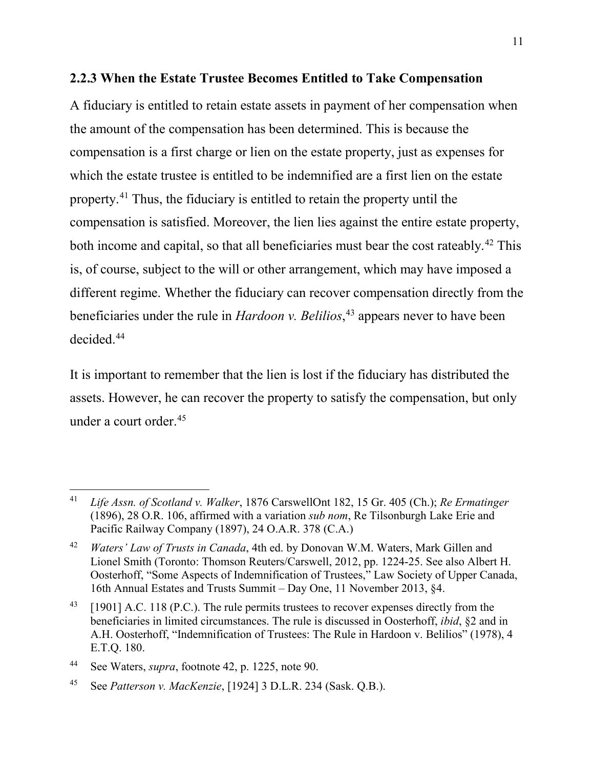# **2.2.3 When the Estate Trustee Becomes Entitled to Take Compensation**

A fiduciary is entitled to retain estate assets in payment of her compensation when the amount of the compensation has been determined. This is because the compensation is a first charge or lien on the estate property, just as expenses for which the estate trustee is entitled to be indemnified are a first lien on the estate property.[41](#page-10-0) Thus, the fiduciary is entitled to retain the property until the compensation is satisfied. Moreover, the lien lies against the entire estate property, both income and capital, so that all beneficiaries must bear the cost rateably.<sup>[42](#page-10-1)</sup> This is, of course, subject to the will or other arrangement, which may have imposed a different regime. Whether the fiduciary can recover compensation directly from the beneficiaries under the rule in *Hardoon v. Belilios*, [43](#page-10-2) appears never to have been decided.[44](#page-10-3)

<span id="page-10-5"></span>It is important to remember that the lien is lost if the fiduciary has distributed the assets. However, he can recover the property to satisfy the compensation, but only under a court order.[45](#page-10-4)

<span id="page-10-0"></span> <sup>41</sup> *Life Assn. of Scotland v. Walker*, 1876 CarswellOnt 182, 15 Gr. 405 (Ch.); *Re Ermatinger* (1896), 28 O.R. 106, affirmed with a variation *sub nom*, Re Tilsonburgh Lake Erie and Pacific Railway Company (1897), 24 O.A.R. 378 (C.A.)

<span id="page-10-1"></span><sup>42</sup> *Waters' Law of Trusts in Canada*, 4th ed. by Donovan W.M. Waters, Mark Gillen and Lionel Smith (Toronto: Thomson Reuters/Carswell, 2012, pp. 1224-25. See also Albert H. Oosterhoff, "Some Aspects of Indemnification of Trustees," Law Society of Upper Canada, 16th Annual Estates and Trusts Summit – Day One, 11 November 2013, §4.

<span id="page-10-2"></span> $^{43}$  [1901] A.C. 118 (P.C.). The rule permits trustees to recover expenses directly from the beneficiaries in limited circumstances. The rule is discussed in Oosterhoff, *ibid*, §2 and in A.H. Oosterhoff, "Indemnification of Trustees: The Rule in Hardoon v. Belilios" (1978), 4 E.T.Q. 180.

<span id="page-10-3"></span><sup>44</sup> See Waters, *supra*, footnote 42, p. 1225, note 90.

<span id="page-10-4"></span><sup>45</sup> See *Patterson v. MacKenzie*, [1924] 3 D.L.R. 234 (Sask. Q.B.).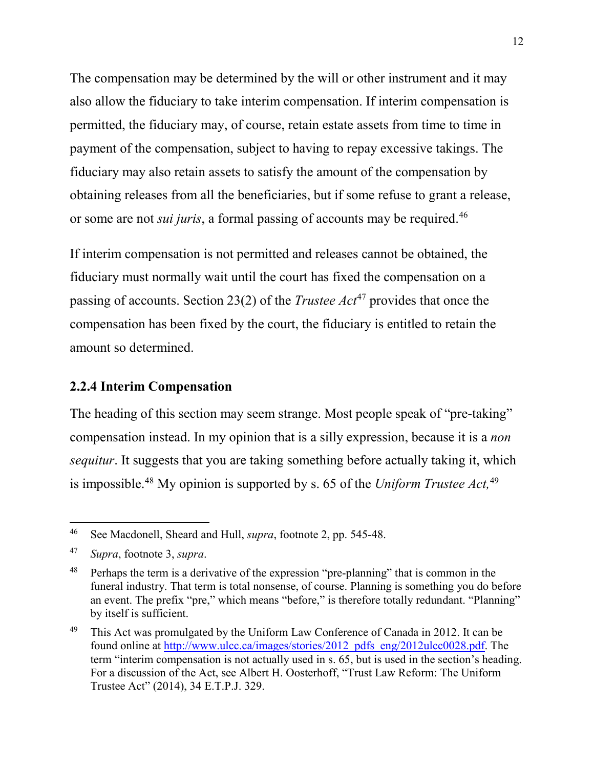The compensation may be determined by the will or other instrument and it may also allow the fiduciary to take interim compensation. If interim compensation is permitted, the fiduciary may, of course, retain estate assets from time to time in payment of the compensation, subject to having to repay excessive takings. The fiduciary may also retain assets to satisfy the amount of the compensation by obtaining releases from all the beneficiaries, but if some refuse to grant a release, or some are not *sui juris*, a formal passing of accounts may be required[.46](#page-11-0)

If interim compensation is not permitted and releases cannot be obtained, the fiduciary must normally wait until the court has fixed the compensation on a passing of accounts. Section 23(2) of the *Trustee Act*[47](#page-11-1) provides that once the compensation has been fixed by the court, the fiduciary is entitled to retain the amount so determined.

# **2.2.4 Interim Compensation**

The heading of this section may seem strange. Most people speak of "pre-taking" compensation instead. In my opinion that is a silly expression, because it is a *non sequitur*. It suggests that you are taking something before actually taking it, which is impossible. [48](#page-11-2) My opinion is supported by s. 65 of the *Uniform Trustee Act,*[49](#page-11-3)

<span id="page-11-0"></span> <sup>46</sup> See Macdonell, Sheard and Hull, *supra*, footnote 2, pp. 545-48.

<span id="page-11-1"></span><sup>47</sup> *Supra*, footnote 3, *supra*.

<span id="page-11-2"></span><sup>&</sup>lt;sup>48</sup> Perhaps the term is a derivative of the expression "pre-planning" that is common in the funeral industry. That term is total nonsense, of course. Planning is something you do before an event. The prefix "pre," which means "before," is therefore totally redundant. "Planning" by itself is sufficient.

<span id="page-11-3"></span><sup>&</sup>lt;sup>49</sup> This Act was promulgated by the Uniform Law Conference of Canada in 2012. It can be found online at [http://www.ulcc.ca/images/stories/2012\\_pdfs\\_eng/2012ulcc0028.pdf.](http://www.ulcc.ca/images/stories/2012_pdfs_eng/2012ulcc0028.pdf) The term "interim compensation is not actually used in s. 65, but is used in the section's heading. For a discussion of the Act, see Albert H. Oosterhoff, "Trust Law Reform: The Uniform Trustee Act" (2014), 34 E.T.P.J. 329.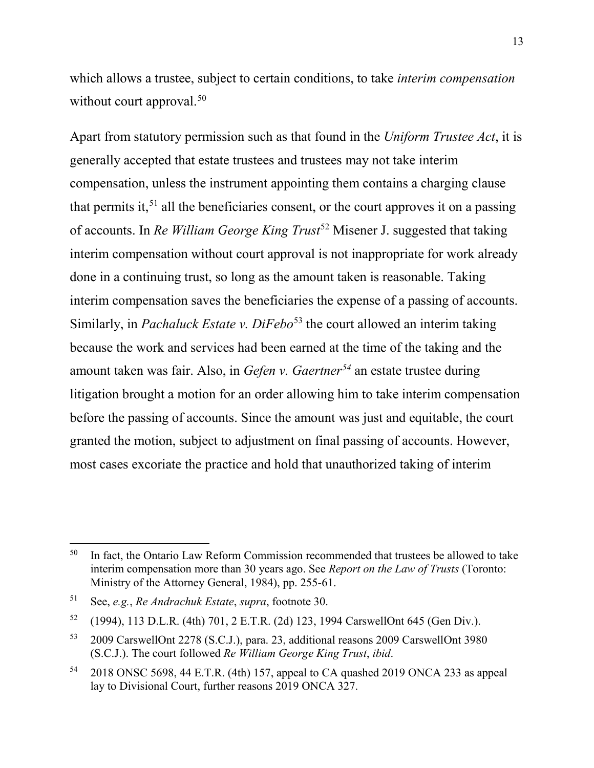which allows a trustee, subject to certain conditions, to take *interim compensation* without court approval.<sup>[50](#page-12-0)</sup>

Apart from statutory permission such as that found in the *Uniform Trustee Act*, it is generally accepted that estate trustees and trustees may not take interim compensation, unless the instrument appointing them contains a charging clause that permits it,  $51$  all the beneficiaries consent, or the court approves it on a passing of accounts. In *Re William George King Trust<sup>[52](#page-12-2)</sup>* Misener J. suggested that taking interim compensation without court approval is not inappropriate for work already done in a continuing trust, so long as the amount taken is reasonable. Taking interim compensation saves the beneficiaries the expense of a passing of accounts. Similarly, in *Pachaluck Estate v. DiFebo*<sup>[53](#page-12-3)</sup> the court allowed an interim taking because the work and services had been earned at the time of the taking and the amount taken was fair. Also, in *Gefen v. Gaertner[54](#page-12-4)* an estate trustee during litigation brought a motion for an order allowing him to take interim compensation before the passing of accounts. Since the amount was just and equitable, the court granted the motion, subject to adjustment on final passing of accounts. However, most cases excoriate the practice and hold that unauthorized taking of interim

<span id="page-12-0"></span> $50$  In fact, the Ontario Law Reform Commission recommended that trustees be allowed to take interim compensation more than 30 years ago. See *Report on the Law of Trusts* (Toronto: Ministry of the Attorney General, 1984), pp. 255-61.

<span id="page-12-1"></span><sup>51</sup> See, *e.g.*, *Re Andrachuk Estate*, *supra*, footnote 30.

<span id="page-12-2"></span><sup>52</sup> (1994), 113 D.L.R. (4th) 701, 2 E.T.R. (2d) 123, 1994 CarswellOnt 645 (Gen Div.).

<span id="page-12-3"></span><sup>53</sup> 2009 CarswellOnt 2278 (S.C.J.), para. 23, additional reasons 2009 CarswellOnt 3980 (S.C.J.). The court followed *Re William George King Trust*, *ibid*.

<span id="page-12-4"></span><sup>54</sup> 2018 ONSC 5698, 44 E.T.R. (4th) 157, appeal to CA quashed 2019 ONCA 233 as appeal lay to Divisional Court, further reasons 2019 ONCA 327.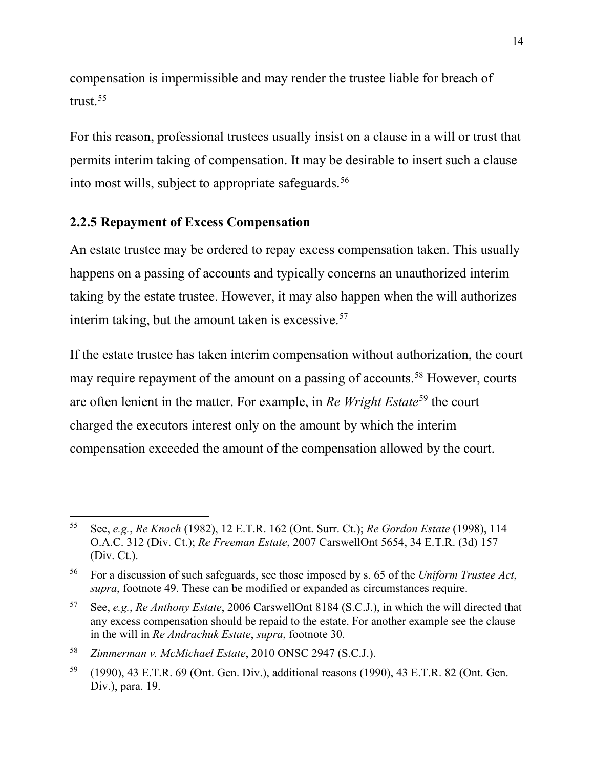compensation is impermissible and may render the trustee liable for breach of trust. [55](#page-13-0)

For this reason, professional trustees usually insist on a clause in a will or trust that permits interim taking of compensation. It may be desirable to insert such a clause into most wills, subject to appropriate safeguards.<sup>[56](#page-13-1)</sup>

# **2.2.5 Repayment of Excess Compensation**

An estate trustee may be ordered to repay excess compensation taken. This usually happens on a passing of accounts and typically concerns an unauthorized interim taking by the estate trustee. However, it may also happen when the will authorizes interim taking, but the amount taken is excessive. $57$ 

If the estate trustee has taken interim compensation without authorization, the court may require repayment of the amount on a passing of accounts.<sup>58</sup> However, courts are often lenient in the matter. For example, in *Re Wright Estate*[59](#page-13-4) the court charged the executors interest only on the amount by which the interim compensation exceeded the amount of the compensation allowed by the court.

<span id="page-13-3"></span><sup>58</sup> *Zimmerman v. McMichael Estate*, 2010 ONSC 2947 (S.C.J.).

<span id="page-13-0"></span> <sup>55</sup> See, *e.g.*, *Re Knoch* (1982), 12 E.T.R. 162 (Ont. Surr. Ct.); *Re Gordon Estate* (1998), 114 O.A.C. 312 (Div. Ct.); *Re Freeman Estate*, 2007 CarswellOnt 5654, 34 E.T.R. (3d) 157 (Div. Ct.).

<span id="page-13-1"></span><sup>56</sup> For a discussion of such safeguards, see those imposed by s. 65 of the *Uniform Trustee Act*, *supra*, footnote 49. These can be modified or expanded as circumstances require.

<span id="page-13-2"></span><sup>57</sup> See, *e.g.*, *Re Anthony Estate*, 2006 CarswellOnt 8184 (S.C.J.), in which the will directed that any excess compensation should be repaid to the estate. For another example see the clause in the will in *Re Andrachuk Estate*, *supra*, footnote 30.

<span id="page-13-4"></span><sup>59</sup> (1990), 43 E.T.R. 69 (Ont. Gen. Div.), additional reasons (1990), 43 E.T.R. 82 (Ont. Gen. Div.), para. 19.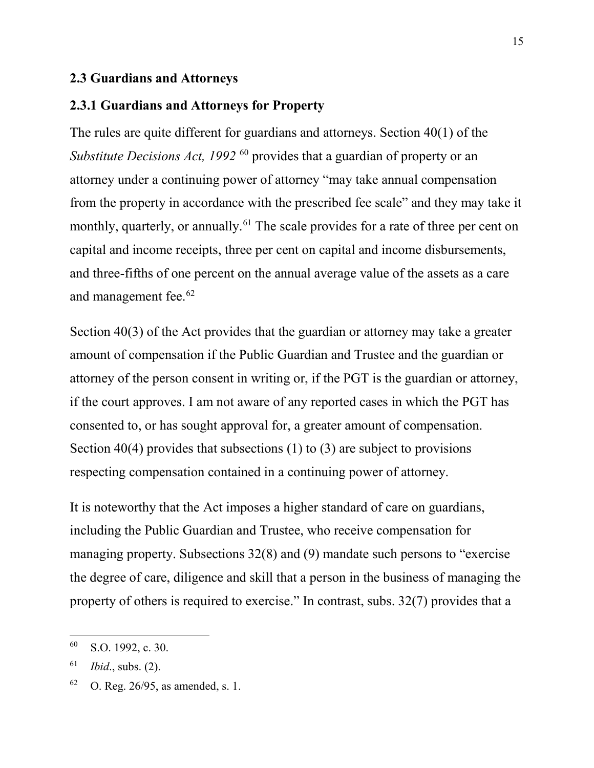#### **2.3 Guardians and Attorneys**

#### **2.3.1 Guardians and Attorneys for Property**

The rules are quite different for guardians and attorneys. Section 40(1) of the *Substitute Decisions Act, 1992*<sup>[60](#page-14-0)</sup> provides that a guardian of property or an attorney under a continuing power of attorney "may take annual compensation from the property in accordance with the prescribed fee scale" and they may take it monthly, quarterly, or annually.<sup>[61](#page-14-1)</sup> The scale provides for a rate of three per cent on capital and income receipts, three per cent on capital and income disbursements, and three-fifths of one percent on the annual average value of the assets as a care and management fee.[62](#page-14-2)

Section 40(3) of the Act provides that the guardian or attorney may take a greater amount of compensation if the Public Guardian and Trustee and the guardian or attorney of the person consent in writing or, if the PGT is the guardian or attorney, if the court approves. I am not aware of any reported cases in which the PGT has consented to, or has sought approval for, a greater amount of compensation. Section 40(4) provides that subsections  $(1)$  to  $(3)$  are subject to provisions respecting compensation contained in a continuing power of attorney.

It is noteworthy that the Act imposes a higher standard of care on guardians, including the Public Guardian and Trustee, who receive compensation for managing property. Subsections 32(8) and (9) mandate such persons to "exercise the degree of care, diligence and skill that a person in the business of managing the property of others is required to exercise." In contrast, subs. 32(7) provides that a

<span id="page-14-0"></span> <sup>60</sup> S.O. 1992, c. 30.

<span id="page-14-1"></span><sup>61</sup> *Ibid*., subs. (2).

<span id="page-14-2"></span><sup>62</sup> O. Reg. 26/95, as amended, s. 1.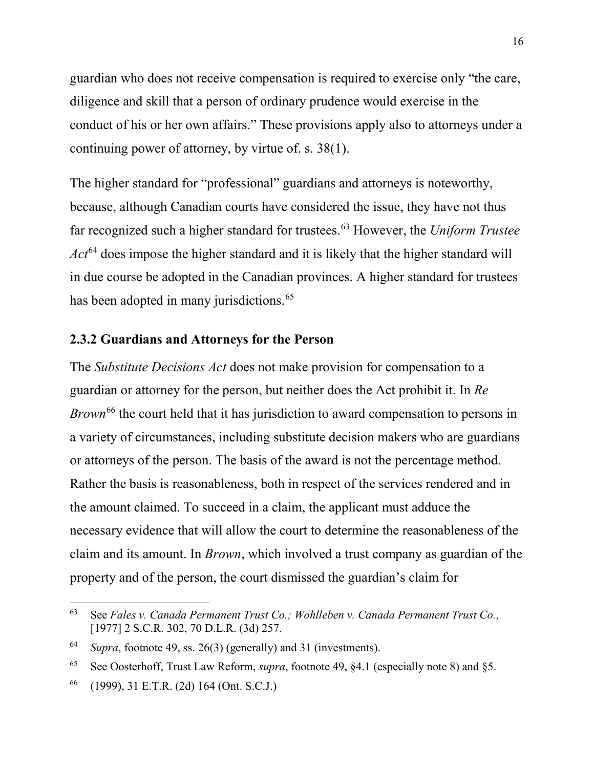guardian who does not receive compensation is required to exercise only "the care, diligence and skill that a person of ordinary prudence would exercise in the conduct of his or her own affairs." These provisions apply also to attorneys under a continuing power of attorney, by virtue of. s. 38(1).

The higher standard for "professional" guardians and attorneys is noteworthy, because, although Canadian courts have considered the issue, they have not thus far recognized such a higher standard for trustees.[63](#page-15-0) However, the *Uniform Trustee Act*[64](#page-15-1) does impose the higher standard and it is likely that the higher standard will in due course be adopted in the Canadian provinces. A higher standard for trustees has been adopted in many jurisdictions.<sup>[65](#page-15-2)</sup>

#### **2.3.2 Guardians and Attorneys for the Person**

The *Substitute Decisions Act* does not make provision for compensation to a guardian or attorney for the person, but neither does the Act prohibit it. In *Re Brown*[66](#page-15-3) the court held that it has jurisdiction to award compensation to persons in a variety of circumstances, including substitute decision makers who are guardians or attorneys of the person. The basis of the award is not the percentage method. Rather the basis is reasonableness, both in respect of the services rendered and in the amount claimed. To succeed in a claim, the applicant must adduce the necessary evidence that will allow the court to determine the reasonableness of the claim and its amount. In *Brown*, which involved a trust company as guardian of the property and of the person, the court dismissed the guardian's claim for

<span id="page-15-0"></span> <sup>63</sup> See *Fales v. Canada Permanent Trust Co.; Wohlleben v. Canada Permanent Trust Co.*, [1977] 2 S.C.R. 302, 70 D.L.R. (3d) 257.

<span id="page-15-1"></span><sup>64</sup> *Supra*, footnote 49, ss. 26(3) (generally) and 31 (investments).

<span id="page-15-2"></span><sup>65</sup> See Oosterhoff, Trust Law Reform, *supra*, footnote 49, §4.1 (especially note 8) and §5.

<span id="page-15-3"></span><sup>66</sup> (1999), 31 E.T.R. (2d) 164 (Ont. S.C.J.)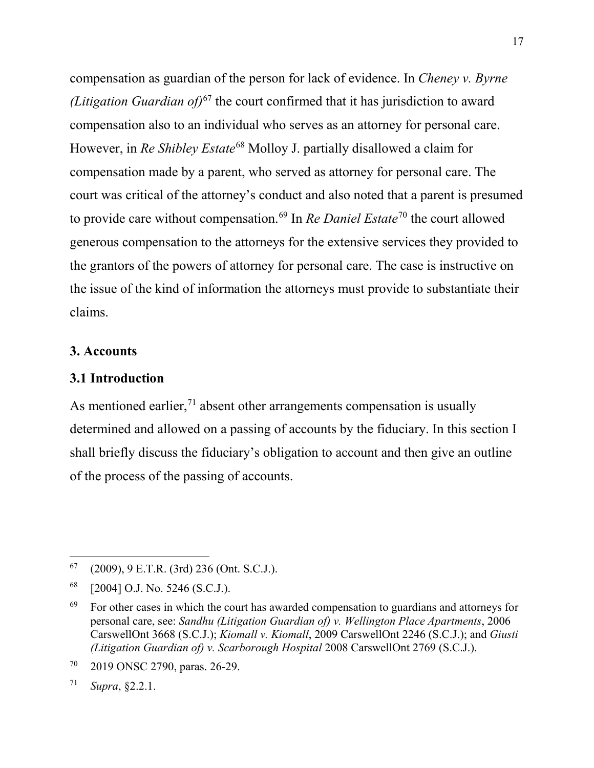compensation as guardian of the person for lack of evidence. In *Cheney v. Byrne (Litigation Guardian of)*[67](#page-16-0) the court confirmed that it has jurisdiction to award compensation also to an individual who serves as an attorney for personal care. However, in *Re Shibley Estate*[68](#page-16-1) Molloy J. partially disallowed a claim for compensation made by a parent, who served as attorney for personal care. The court was critical of the attorney's conduct and also noted that a parent is presumed to provide care without compensation.[69](#page-16-2) In *Re Daniel Estate*[70](#page-16-3) the court allowed generous compensation to the attorneys for the extensive services they provided to the grantors of the powers of attorney for personal care. The case is instructive on the issue of the kind of information the attorneys must provide to substantiate their claims.

#### **3. Accounts**

#### **3.1 Introduction**

As mentioned earlier, $<sup>71</sup>$  $<sup>71</sup>$  $<sup>71</sup>$  absent other arrangements compensation is usually</sup> determined and allowed on a passing of accounts by the fiduciary. In this section I shall briefly discuss the fiduciary's obligation to account and then give an outline of the process of the passing of accounts.

<span id="page-16-0"></span> $67$  (2009), 9 E.T.R. (3rd) 236 (Ont. S.C.J.).

<span id="page-16-1"></span><sup>68</sup> [2004] O.J. No. 5246 (S.C.J.).

<span id="page-16-2"></span> $69$  For other cases in which the court has awarded compensation to guardians and attorneys for personal care, see: *Sandhu (Litigation Guardian of) v. Wellington Place Apartments*, 2006 CarswellOnt 3668 (S.C.J.); *Kiomall v. Kiomall*, 2009 CarswellOnt 2246 (S.C.J.); and *Giusti (Litigation Guardian of) v. Scarborough Hospital* 2008 CarswellOnt 2769 (S.C.J.).

<span id="page-16-3"></span><sup>70</sup> 2019 ONSC 2790, paras. 26-29.

<span id="page-16-4"></span><sup>71</sup> *Supra*, §2.2.1.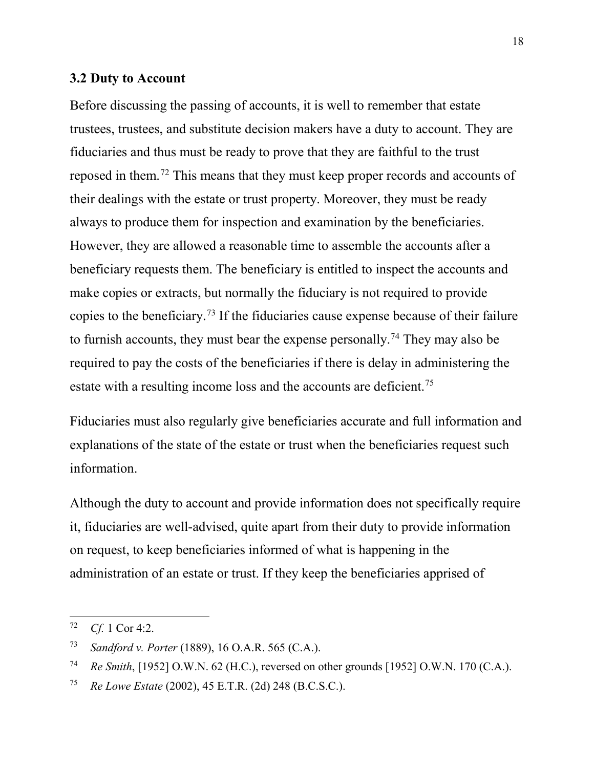#### **3.2 Duty to Account**

Before discussing the passing of accounts, it is well to remember that estate trustees, trustees, and substitute decision makers have a duty to account. They are fiduciaries and thus must be ready to prove that they are faithful to the trust reposed in them.[72](#page-17-0) This means that they must keep proper records and accounts of their dealings with the estate or trust property. Moreover, they must be ready always to produce them for inspection and examination by the beneficiaries. However, they are allowed a reasonable time to assemble the accounts after a beneficiary requests them. The beneficiary is entitled to inspect the accounts and make copies or extracts, but normally the fiduciary is not required to provide copies to the beneficiary.[73](#page-17-1) If the fiduciaries cause expense because of their failure to furnish accounts, they must bear the expense personally.<sup>[74](#page-17-2)</sup> They may also be required to pay the costs of the beneficiaries if there is delay in administering the estate with a resulting income loss and the accounts are deficient.<sup>[75](#page-17-3)</sup>

Fiduciaries must also regularly give beneficiaries accurate and full information and explanations of the state of the estate or trust when the beneficiaries request such information.

Although the duty to account and provide information does not specifically require it, fiduciaries are well-advised, quite apart from their duty to provide information on request, to keep beneficiaries informed of what is happening in the administration of an estate or trust. If they keep the beneficiaries apprised of

<span id="page-17-0"></span> <sup>72</sup> *Cf.* 1 Cor 4:2.

<span id="page-17-1"></span><sup>73</sup> *Sandford v. Porter* (1889), 16 O.A.R. 565 (C.A.).

<span id="page-17-2"></span><sup>74</sup> *Re Smith*, [1952] O.W.N. 62 (H.C.), reversed on other grounds [1952] O.W.N. 170 (C.A.).

<span id="page-17-3"></span><sup>75</sup> *Re Lowe Estate* (2002), 45 E.T.R. (2d) 248 (B.C.S.C.).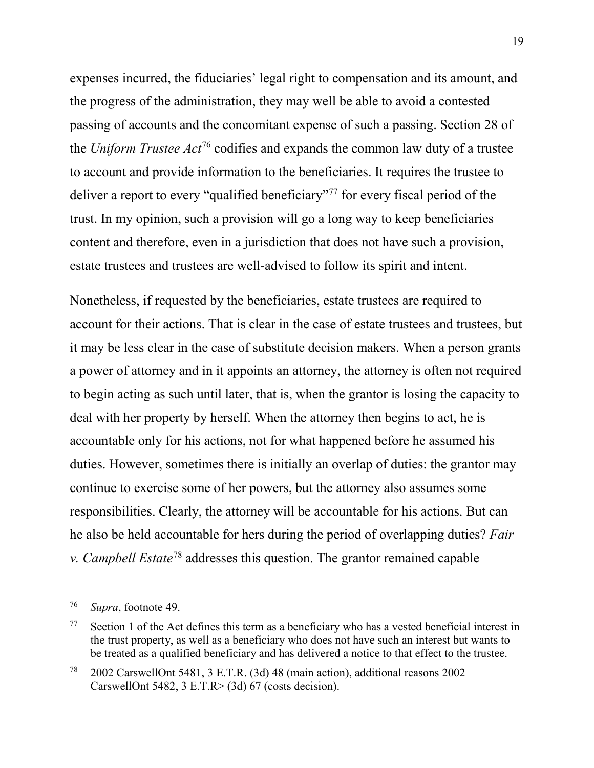expenses incurred, the fiduciaries' legal right to compensation and its amount, and the progress of the administration, they may well be able to avoid a contested passing of accounts and the concomitant expense of such a passing. Section 28 of the *Uniform Trustee Act*[76](#page-18-0) codifies and expands the common law duty of a trustee to account and provide information to the beneficiaries. It requires the trustee to deliver a report to every "qualified beneficiary"<sup>[77](#page-18-1)</sup> for every fiscal period of the trust. In my opinion, such a provision will go a long way to keep beneficiaries content and therefore, even in a jurisdiction that does not have such a provision, estate trustees and trustees are well-advised to follow its spirit and intent.

Nonetheless, if requested by the beneficiaries, estate trustees are required to account for their actions. That is clear in the case of estate trustees and trustees, but it may be less clear in the case of substitute decision makers. When a person grants a power of attorney and in it appoints an attorney, the attorney is often not required to begin acting as such until later, that is, when the grantor is losing the capacity to deal with her property by herself. When the attorney then begins to act, he is accountable only for his actions, not for what happened before he assumed his duties. However, sometimes there is initially an overlap of duties: the grantor may continue to exercise some of her powers, but the attorney also assumes some responsibilities. Clearly, the attorney will be accountable for his actions. But can he also be held accountable for hers during the period of overlapping duties? *Fair v. Campbell Estate*[78](#page-18-2) addresses this question. The grantor remained capable

<span id="page-18-0"></span> <sup>76</sup> *Supra*, footnote 49.

<span id="page-18-1"></span> $77$  Section 1 of the Act defines this term as a beneficiary who has a vested beneficial interest in the trust property, as well as a beneficiary who does not have such an interest but wants to be treated as a qualified beneficiary and has delivered a notice to that effect to the trustee.

<span id="page-18-2"></span><sup>78</sup> 2002 CarswellOnt 5481, 3 E.T.R. (3d) 48 (main action), additional reasons 2002 CarswellOnt 5482, 3 E.T.R> (3d) 67 (costs decision).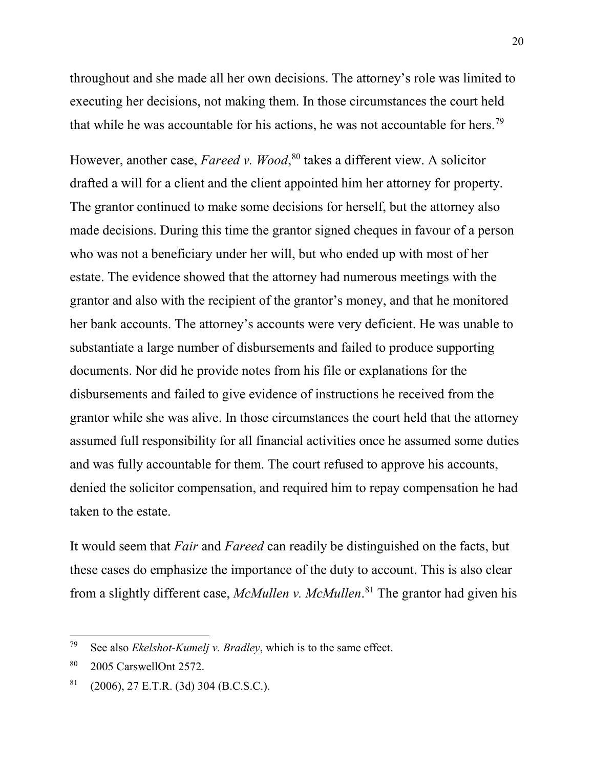throughout and she made all her own decisions. The attorney's role was limited to executing her decisions, not making them. In those circumstances the court held that while he was accountable for his actions, he was not accountable for hers.<sup>[79](#page-19-0)</sup>

However, another case, *Fareed v. Wood*, [80](#page-19-1) takes a different view. A solicitor drafted a will for a client and the client appointed him her attorney for property. The grantor continued to make some decisions for herself, but the attorney also made decisions. During this time the grantor signed cheques in favour of a person who was not a beneficiary under her will, but who ended up with most of her estate. The evidence showed that the attorney had numerous meetings with the grantor and also with the recipient of the grantor's money, and that he monitored her bank accounts. The attorney's accounts were very deficient. He was unable to substantiate a large number of disbursements and failed to produce supporting documents. Nor did he provide notes from his file or explanations for the disbursements and failed to give evidence of instructions he received from the grantor while she was alive. In those circumstances the court held that the attorney assumed full responsibility for all financial activities once he assumed some duties and was fully accountable for them. The court refused to approve his accounts, denied the solicitor compensation, and required him to repay compensation he had taken to the estate.

It would seem that *Fair* and *Fareed* can readily be distinguished on the facts, but these cases do emphasize the importance of the duty to account. This is also clear from a slightly different case, *McMullen v. McMullen*. [81](#page-19-2) The grantor had given his

<span id="page-19-0"></span> <sup>79</sup> See also *Ekelshot-Kumelj v. Bradley*, which is to the same effect.

<span id="page-19-1"></span><sup>80</sup> 2005 CarswellOnt 2572.

<span id="page-19-2"></span> $81$  (2006), 27 E.T.R. (3d) 304 (B.C.S.C.).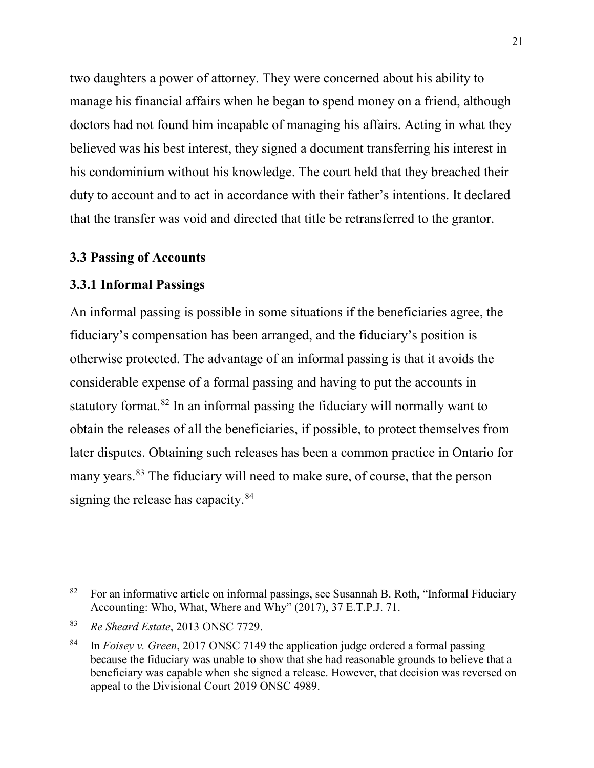two daughters a power of attorney. They were concerned about his ability to manage his financial affairs when he began to spend money on a friend, although doctors had not found him incapable of managing his affairs. Acting in what they believed was his best interest, they signed a document transferring his interest in his condominium without his knowledge. The court held that they breached their duty to account and to act in accordance with their father's intentions. It declared that the transfer was void and directed that title be retransferred to the grantor.

# **3.3 Passing of Accounts**

#### **3.3.1 Informal Passings**

An informal passing is possible in some situations if the beneficiaries agree, the fiduciary's compensation has been arranged, and the fiduciary's position is otherwise protected. The advantage of an informal passing is that it avoids the considerable expense of a formal passing and having to put the accounts in statutory format.[82](#page-20-0) In an informal passing the fiduciary will normally want to obtain the releases of all the beneficiaries, if possible, to protect themselves from later disputes. Obtaining such releases has been a common practice in Ontario for many years. [83](#page-20-1) The fiduciary will need to make sure, of course, that the person signing the release has capacity.<sup>[84](#page-20-2)</sup>

<span id="page-20-0"></span> $82$  For an informative article on informal passings, see Susannah B. Roth, "Informal Fiduciary" Accounting: Who, What, Where and Why" (2017), 37 E.T.P.J. 71.

<span id="page-20-1"></span><sup>83</sup> *Re Sheard Estate*, 2013 ONSC 7729.

<span id="page-20-2"></span><sup>84</sup> In *Foisey v. Green*, 2017 ONSC 7149 the application judge ordered a formal passing because the fiduciary was unable to show that she had reasonable grounds to believe that a beneficiary was capable when she signed a release. However, that decision was reversed on appeal to the Divisional Court 2019 ONSC 4989.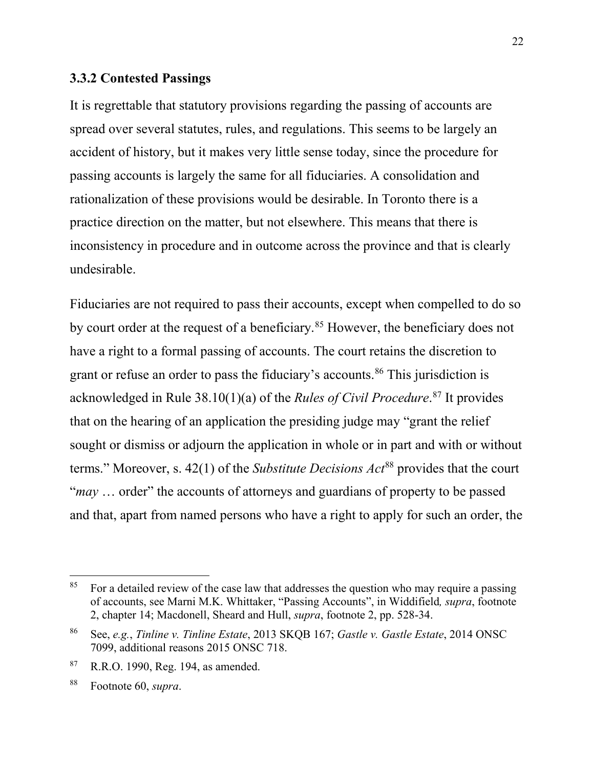#### **3.3.2 Contested Passings**

It is regrettable that statutory provisions regarding the passing of accounts are spread over several statutes, rules, and regulations. This seems to be largely an accident of history, but it makes very little sense today, since the procedure for passing accounts is largely the same for all fiduciaries. A consolidation and rationalization of these provisions would be desirable. In Toronto there is a practice direction on the matter, but not elsewhere. This means that there is inconsistency in procedure and in outcome across the province and that is clearly undesirable.

Fiduciaries are not required to pass their accounts, except when compelled to do so by court order at the request of a beneficiary.<sup>[85](#page-21-0)</sup> However, the beneficiary does not have a right to a formal passing of accounts. The court retains the discretion to grant or refuse an order to pass the fiduciary's accounts.<sup>[86](#page-21-1)</sup> This jurisdiction is acknowledged in Rule 38.10(1)(a) of the *Rules of Civil Procedure*. [87](#page-21-2) It provides that on the hearing of an application the presiding judge may "grant the relief sought or dismiss or adjourn the application in whole or in part and with or without terms." Moreover, s. 42(1) of the *Substitute Decisions Act*[88](#page-21-3) provides that the court "*may* … order" the accounts of attorneys and guardians of property to be passed and that, apart from named persons who have a right to apply for such an order, the

<span id="page-21-0"></span> $85$  For a detailed review of the case law that addresses the question who may require a passing of accounts, see Marni M.K. Whittaker, "Passing Accounts", in Widdifield*, supra*, footnote 2, chapter 14; Macdonell, Sheard and Hull, *supra*, footnote 2, pp. 528-34.

<span id="page-21-1"></span><sup>86</sup> See, *e.g.*, *Tinline v. Tinline Estate*, 2013 SKQB 167; *Gastle v. Gastle Estate*, 2014 ONSC 7099, additional reasons 2015 ONSC 718.

<span id="page-21-2"></span><sup>87</sup> R.R.O. 1990, Reg. 194, as amended.

<span id="page-21-3"></span><sup>88</sup> Footnote 60, *supra*.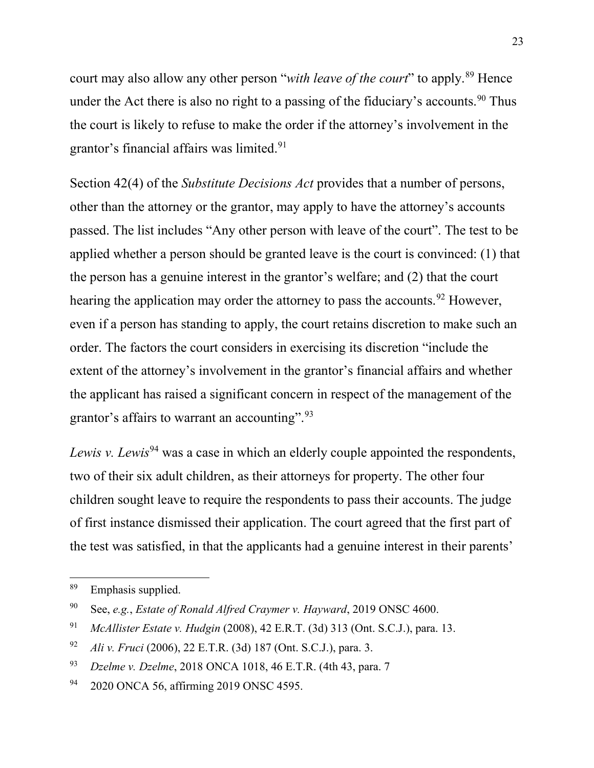court may also allow any other person "*with leave of the court*" to apply.<sup>[89](#page-22-0)</sup> Hence under the Act there is also no right to a passing of the fiduciary's accounts.<sup>[90](#page-22-1)</sup> Thus the court is likely to refuse to make the order if the attorney's involvement in the grantor's financial affairs was limited.<sup>[91](#page-22-2)</sup>

Section 42(4) of the *Substitute Decisions Act* provides that a number of persons, other than the attorney or the grantor, may apply to have the attorney's accounts passed. The list includes "Any other person with leave of the court". The test to be applied whether a person should be granted leave is the court is convinced: (1) that the person has a genuine interest in the grantor's welfare; and (2) that the court hearing the application may order the attorney to pass the accounts.<sup>[92](#page-22-3)</sup> However, even if a person has standing to apply, the court retains discretion to make such an order. The factors the court considers in exercising its discretion "include the extent of the attorney's involvement in the grantor's financial affairs and whether the applicant has raised a significant concern in respect of the management of the grantor's affairs to warrant an accounting".<sup>[93](#page-22-4)</sup>

*Lewis v. Lewis*<sup>[94](#page-22-5)</sup> was a case in which an elderly couple appointed the respondents, two of their six adult children, as their attorneys for property. The other four children sought leave to require the respondents to pass their accounts. The judge of first instance dismissed their application. The court agreed that the first part of the test was satisfied, in that the applicants had a genuine interest in their parents'

<span id="page-22-0"></span> <sup>89</sup> Emphasis supplied.

<span id="page-22-1"></span><sup>90</sup> See, *e.g.*, *Estate of Ronald Alfred Craymer v. Hayward*, 2019 ONSC 4600.

<span id="page-22-2"></span><sup>91</sup> *McAllister Estate v. Hudgin* (2008), 42 E.R.T. (3d) 313 (Ont. S.C.J.), para. 13.

<span id="page-22-3"></span><sup>92</sup> *Ali v. Fruci* (2006), 22 E.T.R. (3d) 187 (Ont. S.C.J.), para. 3.

<span id="page-22-4"></span><sup>93</sup> *Dzelme v. Dzelme*, 2018 ONCA 1018, 46 E.T.R. (4th 43, para. 7

<span id="page-22-5"></span><sup>94 2020</sup> ONCA 56, affirming 2019 ONSC 4595.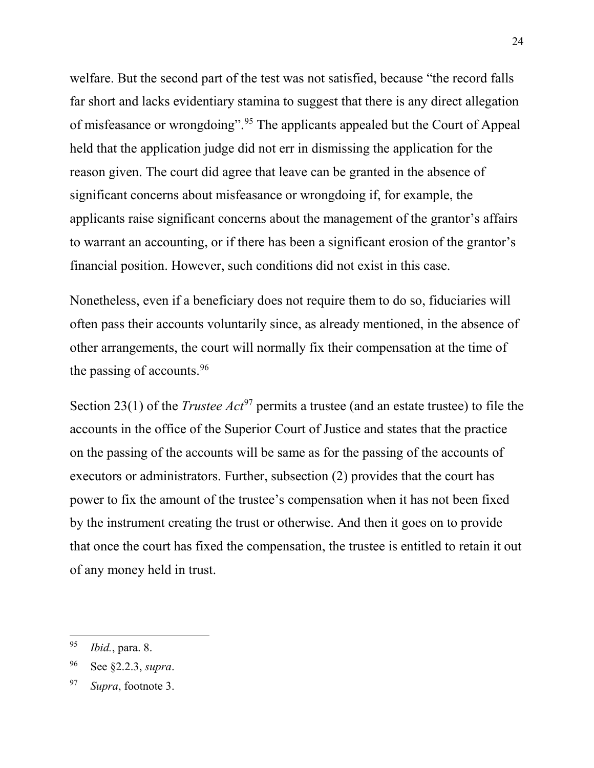welfare. But the second part of the test was not satisfied, because "the record falls far short and lacks evidentiary stamina to suggest that there is any direct allegation of misfeasance or wrongdoing".[95](#page-23-0) The applicants appealed but the Court of Appeal held that the application judge did not err in dismissing the application for the reason given. The court did agree that leave can be granted in the absence of significant concerns about misfeasance or wrongdoing if, for example, the applicants raise significant concerns about the management of the grantor's affairs to warrant an accounting, or if there has been a significant erosion of the grantor's financial position. However, such conditions did not exist in this case.

Nonetheless, even if a beneficiary does not require them to do so, fiduciaries will often pass their accounts voluntarily since, as already mentioned, in the absence of other arrangements, the court will normally fix their compensation at the time of the passing of accounts.[96](#page-23-1)

Section 23(1) of the *Trustee Act*<sup>[97](#page-23-2)</sup> permits a trustee (and an estate trustee) to file the accounts in the office of the Superior Court of Justice and states that the practice on the passing of the accounts will be same as for the passing of the accounts of executors or administrators. Further, subsection (2) provides that the court has power to fix the amount of the trustee's compensation when it has not been fixed by the instrument creating the trust or otherwise. And then it goes on to provide that once the court has fixed the compensation, the trustee is entitled to retain it out of any money held in trust.

<span id="page-23-0"></span> <sup>95</sup> *Ibid.*, para. 8.

<span id="page-23-1"></span><sup>96</sup> See §2.2.3, *supra*.

<span id="page-23-2"></span><sup>97</sup> *Supra*, footnote 3.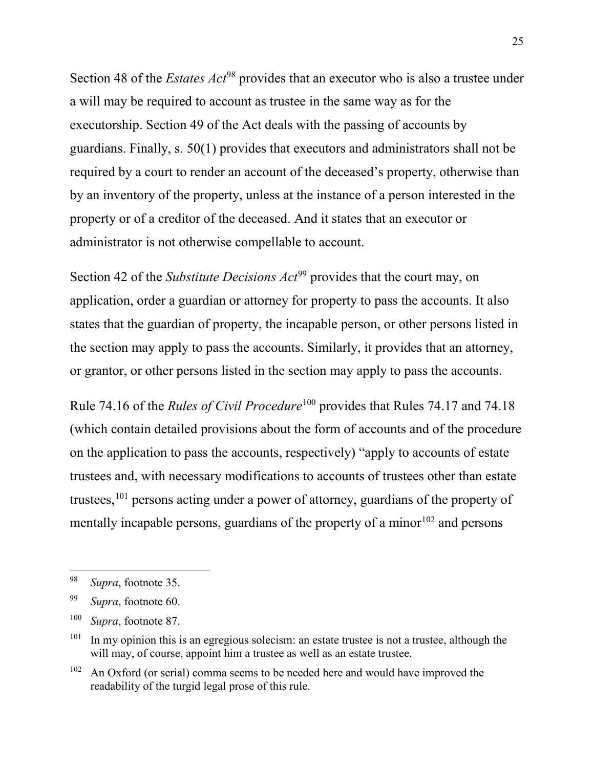Section 48 of the *Estates Act*<sup>[98](#page-24-0)</sup> provides that an executor who is also a trustee under a will may be required to account as trustee in the same way as for the executorship. Section 49 of the Act deals with the passing of accounts by guardians. Finally, s. 50(1) provides that executors and administrators shall not be required by a court to render an account of the deceased's property, otherwise than by an inventory of the property, unless at the instance of a person interested in the property or of a creditor of the deceased. And it states that an executor or administrator is not otherwise compellable to account.

Section 42 of the *Substitute Decisions Act*[99](#page-24-1) provides that the court may, on application, order a guardian or attorney for property to pass the accounts. It also states that the guardian of property, the incapable person, or other persons listed in the section may apply to pass the accounts. Similarly, it provides that an attorney, or grantor, or other persons listed in the section may apply to pass the accounts.

Rule 74.16 of the *Rules of Civil Procedure*[100](#page-24-2) provides that Rules 74.17 and 74.18 (which contain detailed provisions about the form of accounts and of the procedure on the application to pass the accounts, respectively) "apply to accounts of estate trustees and, with necessary modifications to accounts of trustees other than estate trustees,<sup>[101](#page-24-3)</sup> persons acting under a power of attorney, guardians of the property of mentally incapable persons, guardians of the property of a minor  $102$  and persons

<span id="page-24-0"></span> <sup>98</sup> *Supra*, footnote 35.

<span id="page-24-1"></span><sup>99</sup> *Supra*, footnote 60.

<span id="page-24-2"></span><sup>100</sup> *Supra*, footnote 87.

<span id="page-24-3"></span> $101$  In my opinion this is an egregious solecism: an estate trustee is not a trustee, although the will may, of course, appoint him a trustee as well as an estate trustee.

<span id="page-24-4"></span> $102$  An Oxford (or serial) comma seems to be needed here and would have improved the readability of the turgid legal prose of this rule.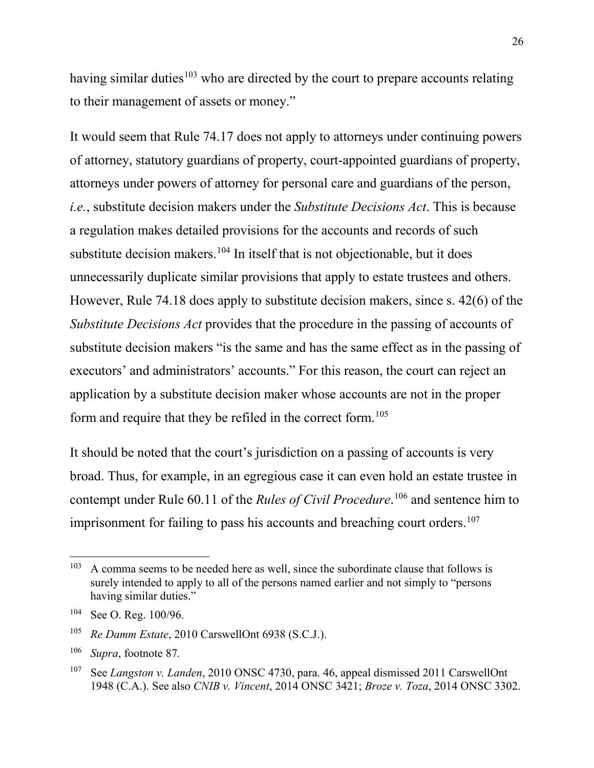having similar duties<sup>[103](#page-25-0)</sup> who are directed by the court to prepare accounts relating to their management of assets or money."

It would seem that Rule 74.17 does not apply to attorneys under continuing powers of attorney, statutory guardians of property, court-appointed guardians of property, attorneys under powers of attorney for personal care and guardians of the person, *i.e.*, substitute decision makers under the *Substitute Decisions Act*. This is because a regulation makes detailed provisions for the accounts and records of such substitute decision makers.<sup>[104](#page-25-1)</sup> In itself that is not objectionable, but it does unnecessarily duplicate similar provisions that apply to estate trustees and others. However, Rule 74.18 does apply to substitute decision makers, since s. 42(6) of the *Substitute Decisions Act* provides that the procedure in the passing of accounts of substitute decision makers "is the same and has the same effect as in the passing of executors' and administrators' accounts." For this reason, the court can reject an application by a substitute decision maker whose accounts are not in the proper form and require that they be refiled in the correct form.<sup>[105](#page-25-2)</sup>

It should be noted that the court's jurisdiction on a passing of accounts is very broad. Thus, for example, in an egregious case it can even hold an estate trustee in contempt under Rule 60.11 of the *Rules of Civil Procedure*. [106](#page-25-3) and sentence him to imprisonment for failing to pass his accounts and breaching court orders.<sup>[107](#page-25-4)</sup>

<span id="page-25-0"></span> $103$  A comma seems to be needed here as well, since the subordinate clause that follows is surely intended to apply to all of the persons named earlier and not simply to "persons having similar duties."

<span id="page-25-1"></span><sup>104</sup> See O. Reg. 100/96.

<span id="page-25-2"></span><sup>105</sup> *Re Damm Estate*, 2010 CarswellOnt 6938 (S.C.J.).

<span id="page-25-3"></span><sup>106</sup> *Supra*, footnote 87*.*

<span id="page-25-4"></span><sup>107</sup> See *Langston v. Landen*, 2010 ONSC 4730, para. 46, appeal dismissed 2011 CarswellOnt 1948 (C.A.). See also *CNIB v. Vincent*, 2014 ONSC 3421; *Broze v. Toza*, 2014 ONSC 3302.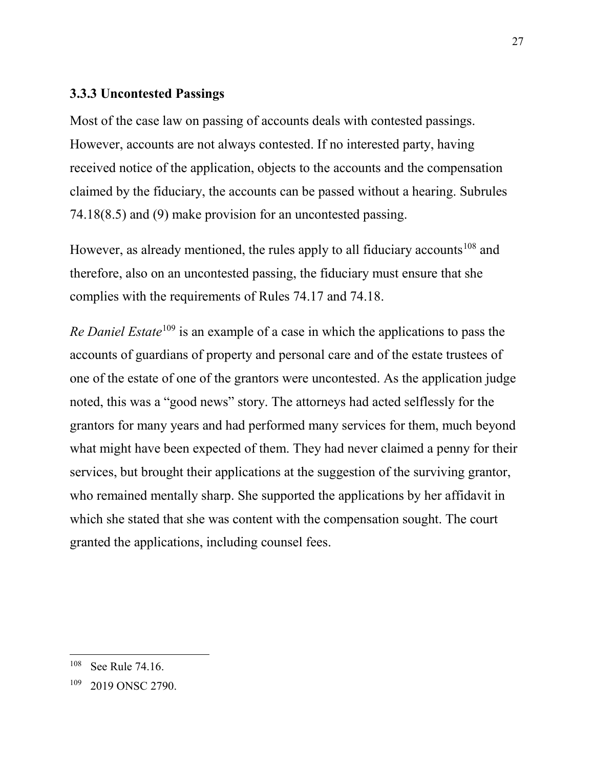# **3.3.3 Uncontested Passings**

Most of the case law on passing of accounts deals with contested passings. However, accounts are not always contested. If no interested party, having received notice of the application, objects to the accounts and the compensation claimed by the fiduciary, the accounts can be passed without a hearing. Subrules 74.18(8.5) and (9) make provision for an uncontested passing.

However, as already mentioned, the rules apply to all fiduciary accounts<sup>[108](#page-26-0)</sup> and therefore, also on an uncontested passing, the fiduciary must ensure that she complies with the requirements of Rules 74.17 and 74.18.

*Re Daniel Estate*<sup>[109](#page-26-1)</sup> is an example of a case in which the applications to pass the accounts of guardians of property and personal care and of the estate trustees of one of the estate of one of the grantors were uncontested. As the application judge noted, this was a "good news" story. The attorneys had acted selflessly for the grantors for many years and had performed many services for them, much beyond what might have been expected of them. They had never claimed a penny for their services, but brought their applications at the suggestion of the surviving grantor, who remained mentally sharp. She supported the applications by her affidavit in which she stated that she was content with the compensation sought. The court granted the applications, including counsel fees.

<span id="page-26-0"></span><sup>&</sup>lt;sup>108</sup> See Rule 74.16.

<span id="page-26-1"></span><sup>109</sup> 2019 ONSC 2790.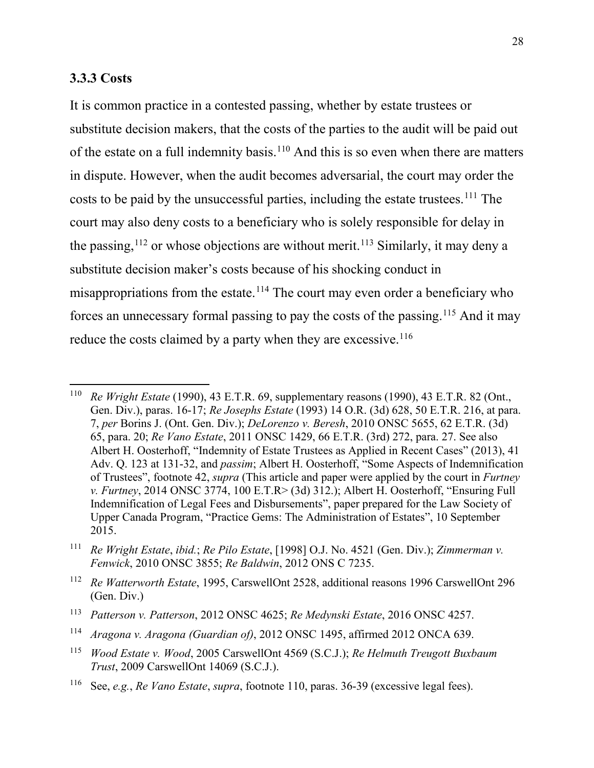## **3.3.3 Costs**

It is common practice in a contested passing, whether by estate trustees or substitute decision makers, that the costs of the parties to the audit will be paid out of the estate on a full indemnity basis.<sup>[110](#page-27-0)</sup> And this is so even when there are matters in dispute. However, when the audit becomes adversarial, the court may order the costs to be paid by the unsuccessful parties, including the estate trustees.<sup>[111](#page-27-1)</sup> The court may also deny costs to a beneficiary who is solely responsible for delay in the passing,  $112$  or whose objections are without merit.  $113$  Similarly, it may deny a substitute decision maker's costs because of his shocking conduct in misappropriations from the estate.<sup>[114](#page-27-4)</sup> The court may even order a beneficiary who forces an unnecessary formal passing to pay the costs of the passing.[115](#page-27-5) And it may reduce the costs claimed by a party when they are excessive. $116$ 

<span id="page-27-1"></span><sup>111</sup> *Re Wright Estate*, *ibid.*; *Re Pilo Estate*, [1998] O.J. No. 4521 (Gen. Div.); *Zimmerman v. Fenwick*, 2010 ONSC 3855; *Re Baldwin*, 2012 ONS C 7235.

<span id="page-27-0"></span> <sup>110</sup> *Re Wright Estate* (1990), 43 E.T.R. 69, supplementary reasons (1990), 43 E.T.R. 82 (Ont., Gen. Div.), paras. 16-17; *Re Josephs Estate* (1993) 14 O.R. (3d) 628, 50 E.T.R. 216, at para. 7, *per* Borins J. (Ont. Gen. Div.); *DeLorenzo v. Beresh*, 2010 ONSC 5655, 62 E.T.R. (3d) 65, para. 20; *Re Vano Estate*, 2011 ONSC 1429, 66 E.T.R. (3rd) 272, para. 27. See also Albert H. Oosterhoff, "Indemnity of Estate Trustees as Applied in Recent Cases" (2013), 41 Adv. Q. 123 at 131-32, and *passim*; Albert H. Oosterhoff, "Some Aspects of Indemnification of Trustees", footnote [42,](#page-10-5) *supra* (This article and paper were applied by the court in *Furtney v. Furtney*, 2014 ONSC 3774, 100 E.T.R> (3d) 312.); Albert H. Oosterhoff, "Ensuring Full Indemnification of Legal Fees and Disbursements", paper prepared for the Law Society of Upper Canada Program, "Practice Gems: The Administration of Estates", 10 September 2015.

<span id="page-27-2"></span><sup>112</sup> *Re Watterworth Estate*, 1995, CarswellOnt 2528, additional reasons 1996 CarswellOnt 296 (Gen. Div.)

<span id="page-27-3"></span><sup>113</sup> *Patterson v. Patterson*, 2012 ONSC 4625; *Re Medynski Estate*, 2016 ONSC 4257.

<span id="page-27-4"></span><sup>114</sup> *Aragona v. Aragona (Guardian of)*, 2012 ONSC 1495, affirmed 2012 ONCA 639.

<span id="page-27-5"></span><sup>115</sup> *Wood Estate v. Wood*, 2005 CarswellOnt 4569 (S.C.J.); *Re Helmuth Treugott Buxbaum Trust*, 2009 CarswellOnt 14069 (S.C.J.).

<span id="page-27-6"></span><sup>116</sup> See, *e.g.*, *Re Vano Estate*, *supra*, footnote 110, paras. 36-39 (excessive legal fees).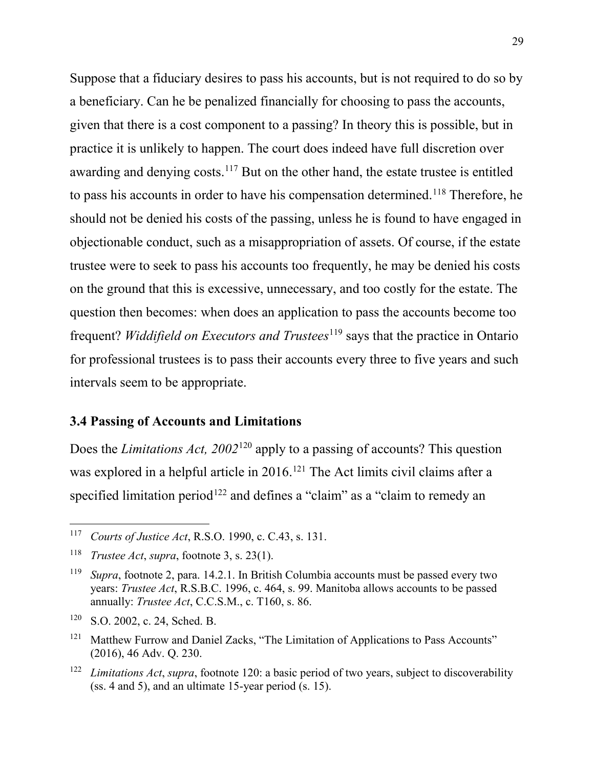Suppose that a fiduciary desires to pass his accounts, but is not required to do so by a beneficiary. Can he be penalized financially for choosing to pass the accounts, given that there is a cost component to a passing? In theory this is possible, but in practice it is unlikely to happen. The court does indeed have full discretion over awarding and denying costs.<sup>[117](#page-28-0)</sup> But on the other hand, the estate trustee is entitled to pass his accounts in order to have his compensation determined.<sup>[118](#page-28-1)</sup> Therefore, he should not be denied his costs of the passing, unless he is found to have engaged in objectionable conduct, such as a misappropriation of assets. Of course, if the estate trustee were to seek to pass his accounts too frequently, he may be denied his costs on the ground that this is excessive, unnecessary, and too costly for the estate. The question then becomes: when does an application to pass the accounts become too frequent? *Widdifield on Executors and Trustees*<sup>[119](#page-28-2)</sup> says that the practice in Ontario for professional trustees is to pass their accounts every three to five years and such intervals seem to be appropriate.

# **3.4 Passing of Accounts and Limitations**

Does the *Limitations Act, 2002*[120](#page-28-3) apply to a passing of accounts? This question was explored in a helpful article in 2016.<sup>[121](#page-28-4)</sup> The Act limits civil claims after a specified limitation period<sup>[122](#page-28-5)</sup> and defines a "claim" as a "claim to remedy an

<span id="page-28-0"></span> <sup>117</sup> *Courts of Justice Act*, R.S.O. 1990, c. C.43, s. 131.

<span id="page-28-1"></span><sup>118</sup> *Trustee Act*, *supra*, footnote 3, s. 23(1).

<span id="page-28-2"></span><sup>119</sup> *Supra*, footnote 2, para. 14.2.1. In British Columbia accounts must be passed every two years: *Trustee Act*, R.S.B.C. 1996, c. 464, s. 99. Manitoba allows accounts to be passed annually: *Trustee Act*, C.C.S.M., c. T160, s. 86.

<span id="page-28-3"></span><sup>120</sup> S.O. 2002, c. 24, Sched. B.

<span id="page-28-4"></span><sup>&</sup>lt;sup>121</sup> Matthew Furrow and Daniel Zacks, "The Limitation of Applications to Pass Accounts" (2016), 46 Adv. Q. 230.

<span id="page-28-5"></span><sup>122</sup> *Limitations Act*, *supra*, footnote 120: a basic period of two years, subject to discoverability (ss. 4 and 5), and an ultimate 15-year period (s. 15).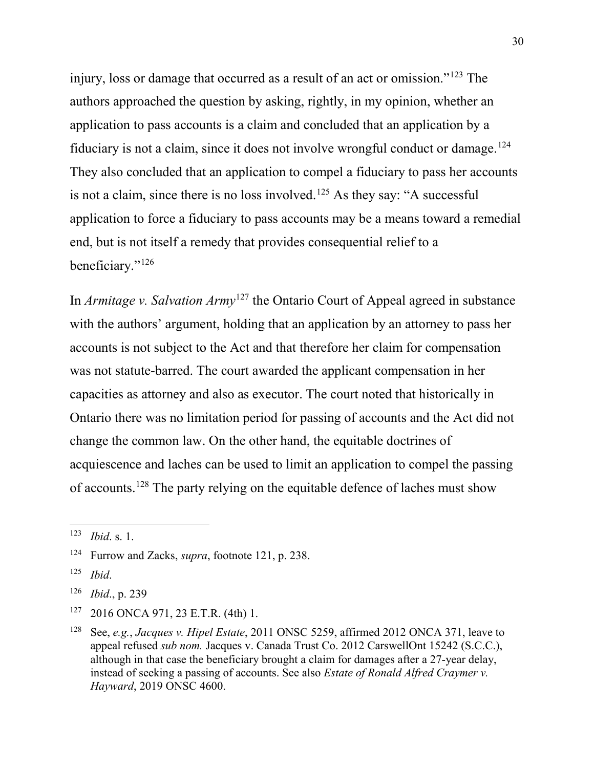injury, loss or damage that occurred as a result of an act or omission."[123](#page-29-0) The authors approached the question by asking, rightly, in my opinion, whether an application to pass accounts is a claim and concluded that an application by a fiduciary is not a claim, since it does not involve wrongful conduct or damage.<sup>[124](#page-29-1)</sup> They also concluded that an application to compel a fiduciary to pass her accounts is not a claim, since there is no loss involved.<sup>[125](#page-29-2)</sup> As they say: "A successful application to force a fiduciary to pass accounts may be a means toward a remedial end, but is not itself a remedy that provides consequential relief to a beneficiary."<sup>[126](#page-29-3)</sup>

In *Armitage v. Salvation Army*[127](#page-29-4) the Ontario Court of Appeal agreed in substance with the authors' argument, holding that an application by an attorney to pass her accounts is not subject to the Act and that therefore her claim for compensation was not statute-barred. The court awarded the applicant compensation in her capacities as attorney and also as executor. The court noted that historically in Ontario there was no limitation period for passing of accounts and the Act did not change the common law. On the other hand, the equitable doctrines of acquiescence and laches can be used to limit an application to compel the passing of accounts.[128](#page-29-5) The party relying on the equitable defence of laches must show

<span id="page-29-0"></span> <sup>123</sup> *Ibid*. s. 1.

<span id="page-29-1"></span><sup>124</sup> Furrow and Zacks, *supra*, footnote 121, p. 238.

<span id="page-29-2"></span><sup>125</sup> *Ibid*.

<span id="page-29-3"></span><sup>126</sup> *Ibid*., p. 239

<span id="page-29-4"></span><sup>127</sup> 2016 ONCA 971, 23 E.T.R. (4th) 1.

<span id="page-29-5"></span><sup>128</sup> See, *e.g.*, *Jacques v. Hipel Estate*, 2011 ONSC 5259, affirmed 2012 ONCA 371, leave to appeal refused *sub nom.* Jacques v. Canada Trust Co. 2012 CarswellOnt 15242 (S.C.C.), although in that case the beneficiary brought a claim for damages after a 27-year delay, instead of seeking a passing of accounts. See also *Estate of Ronald Alfred Craymer v. Hayward*, 2019 ONSC 4600.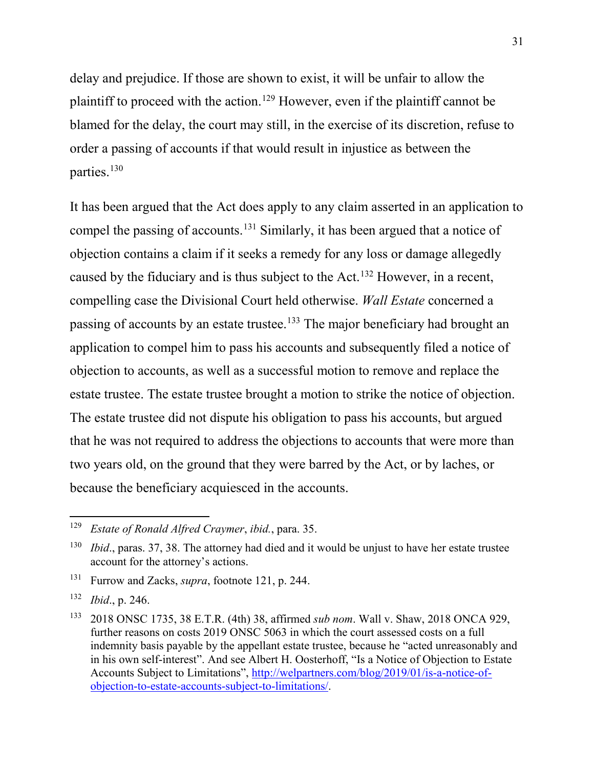delay and prejudice. If those are shown to exist, it will be unfair to allow the plaintiff to proceed with the action.<sup>[129](#page-30-0)</sup> However, even if the plaintiff cannot be blamed for the delay, the court may still, in the exercise of its discretion, refuse to order a passing of accounts if that would result in injustice as between the parties.[130](#page-30-1)

It has been argued that the Act does apply to any claim asserted in an application to compel the passing of accounts.<sup>[131](#page-30-2)</sup> Similarly, it has been argued that a notice of objection contains a claim if it seeks a remedy for any loss or damage allegedly caused by the fiduciary and is thus subject to the Act.[132](#page-30-3) However, in a recent, compelling case the Divisional Court held otherwise. *Wall Estate* concerned a passing of accounts by an estate trustee.<sup>[133](#page-30-4)</sup> The major beneficiary had brought an application to compel him to pass his accounts and subsequently filed a notice of objection to accounts, as well as a successful motion to remove and replace the estate trustee. The estate trustee brought a motion to strike the notice of objection. The estate trustee did not dispute his obligation to pass his accounts, but argued that he was not required to address the objections to accounts that were more than two years old, on the ground that they were barred by the Act, or by laches, or because the beneficiary acquiesced in the accounts.

<span id="page-30-0"></span> <sup>129</sup> *Estate of Ronald Alfred Craymer*, *ibid.*, para. 35.

<span id="page-30-1"></span><sup>&</sup>lt;sup>130</sup> *Ibid.*, paras. 37, 38. The attorney had died and it would be unjust to have her estate trustee account for the attorney's actions.

<span id="page-30-2"></span><sup>131</sup> Furrow and Zacks, *supra*, footnote 121, p. 244.

<span id="page-30-3"></span><sup>132</sup> *Ibid*., p. 246.

<span id="page-30-4"></span><sup>133</sup> 2018 ONSC 1735, 38 E.T.R. (4th) 38, affirmed *sub nom*. Wall v. Shaw, 2018 ONCA 929, further reasons on costs 2019 ONSC 5063 in which the court assessed costs on a full indemnity basis payable by the appellant estate trustee, because he "acted unreasonably and in his own self-interest". And see Albert H. Oosterhoff, "Is a Notice of Objection to Estate Accounts Subject to Limitations", [http://welpartners.com/blog/2019/01/is-a-notice-of](http://welpartners.com/blog/2019/01/is-a-notice-of-objection-to-estate-accounts-subject-to-limitations/)[objection-to-estate-accounts-subject-to-limitations/.](http://welpartners.com/blog/2019/01/is-a-notice-of-objection-to-estate-accounts-subject-to-limitations/)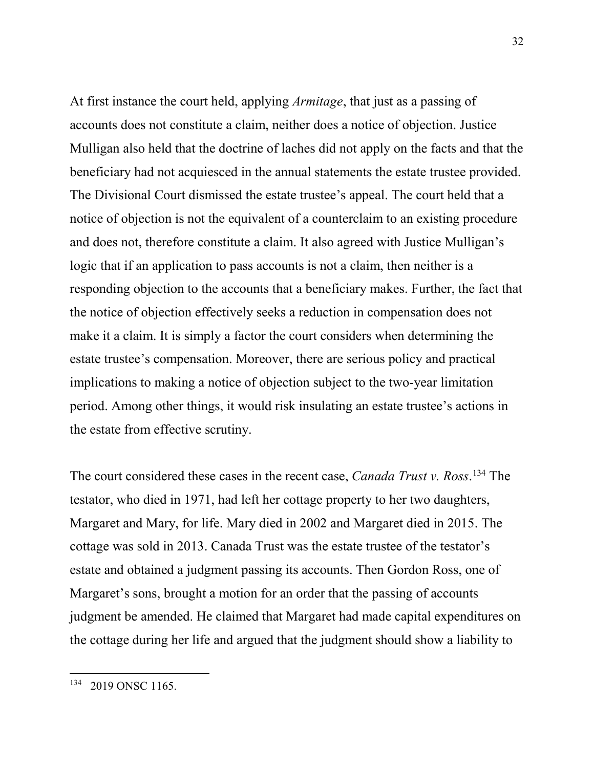At first instance the court held, applying *Armitage*, that just as a passing of accounts does not constitute a claim, neither does a notice of objection. Justice Mulligan also held that the doctrine of laches did not apply on the facts and that the beneficiary had not acquiesced in the annual statements the estate trustee provided. The Divisional Court dismissed the estate trustee's appeal. The court held that a notice of objection is not the equivalent of a counterclaim to an existing procedure and does not, therefore constitute a claim. It also agreed with Justice Mulligan's logic that if an application to pass accounts is not a claim, then neither is a responding objection to the accounts that a beneficiary makes. Further, the fact that the notice of objection effectively seeks a reduction in compensation does not make it a claim. It is simply a factor the court considers when determining the estate trustee's compensation. Moreover, there are serious policy and practical implications to making a notice of objection subject to the two-year limitation period. Among other things, it would risk insulating an estate trustee's actions in the estate from effective scrutiny.

The court considered these cases in the recent case, *Canada Trust v. Ross*. [134](#page-31-0) The testator, who died in 1971, had left her cottage property to her two daughters, Margaret and Mary, for life. Mary died in 2002 and Margaret died in 2015. The cottage was sold in 2013. Canada Trust was the estate trustee of the testator's estate and obtained a judgment passing its accounts. Then Gordon Ross, one of Margaret's sons, brought a motion for an order that the passing of accounts judgment be amended. He claimed that Margaret had made capital expenditures on the cottage during her life and argued that the judgment should show a liability to

<span id="page-31-0"></span><sup>&</sup>lt;sup>134</sup> 2019 ONSC 1165.